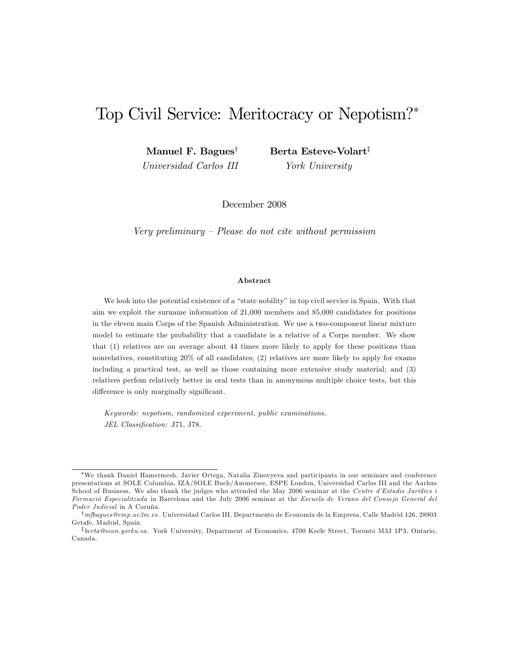# Top Civil Service: Meritocracy or Nepotism?

Manuel F. Bagues<sup>†</sup> Universidad Carlos III Berta Esteve-Volart<sup>‡</sup> York University

December 2008

Very preliminary  $P$ lease do not cite without permission

#### Abstract

We look into the potential existence of a "state nobility" in top civil service in Spain. With that aim we exploit the surname information of 21,000 members and 85,000 candidates for positions in the eleven main Corps of the Spanish Administration. We use a two-component linear mixture model to estimate the probability that a candidate is a relative of a Corps member. We show that (1) relatives are on average about 44 times more likely to apply for these positions than nonrelatives, constituting 20% of all candidates; (2) relatives are more likely to apply for exams including a practical test, as well as those containing more extensive study material; and (3) relatives perfom relatively better in oral tests than in anonymous multiple choice tests, but this difference is only marginally significant.

Keywords: nepotism, randomized experiment, public examinations. JEL Classification: J71, J78.

We thank Daniel Hamermesh, Javier Ortega, Natalia Zinovyeva and participants in our seminars and conference presentations at SOLE Columbia, IZA/SOLE Buch/Ammersee, ESPE London, Universidad Carlos III and the Aarhus School of Business. We also thank the judges who attended the May 2006 seminar at the Centre d'Estudis Jurídics i Formació Especialitzada in Barcelona and the July 2006 seminar at the Escuela de Verano del Consejo General del Poder Judicial in A Coruña.

<sup>&</sup>lt;sup>†</sup>mfbagues@emp.uc3m.es. Universidad Carlos III, Departmento de Economía de la Empresa, Calle Madrid 126, 28903 Getafe, Madrid, Spain.

<sup>&</sup>lt;sup>‡</sup>berta@econ.yorku.ca. York University, Department of Economics, 4700 Keele Street, Toronto M3J 1P3, Ontario, Canada.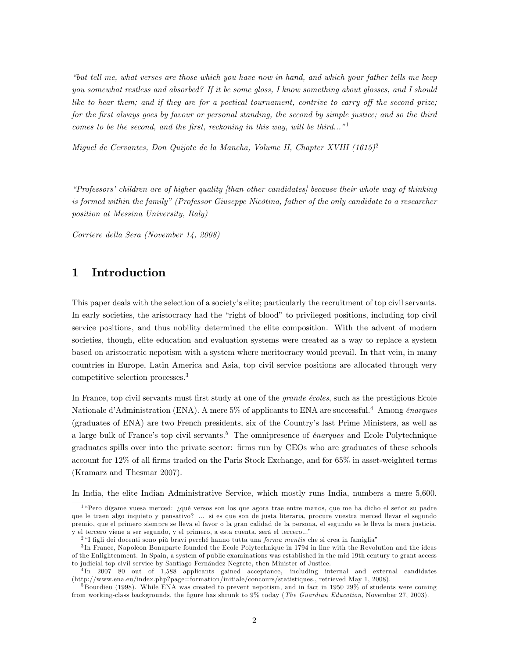ìbut tell me, what verses are those which you have now in hand, and which your father tells me keep you somewhat restless and absorbed? If it be some gloss, I know something about glosses, and I should like to hear them; and if they are for a poetical tournament, contrive to carry off the second prize; for the Örst always goes by favour or personal standing, the second by simple justice; and so the third comes to be the second, and the first, reckoning in this way, will be third..."

Miguel de Cervantes, Don Quijote de la Mancha, Volume II, Chapter XVIII  $(1615)^2$ 

 $\emph{``Professors' children are of higher quality (than other candidates) because their whole way of thinking}$ is formed within the family" (Professor Giuseppe Nicòtina, father of the only candidate to a researcher position at Messina University, Italy)

Corriere della Sera (November 14, 2008)

# 1 Introduction

This paper deals with the selection of a society's elite; particularly the recruitment of top civil servants. In early societies, the aristocracy had the "right of blood" to privileged positions, including top civil service positions, and thus nobility determined the elite composition. With the advent of modern societies, though, elite education and evaluation systems were created as a way to replace a system based on aristocratic nepotism with a system where meritocracy would prevail. In that vein, in many countries in Europe, Latin America and Asia, top civil service positions are allocated through very competitive selection processes.<sup>3</sup>

In France, top civil servants must first study at one of the *grande écoles*, such as the prestigious Ecole Nationale d'Administration (ENA). A mere  $5\%$  of applicants to ENA are successful.<sup>4</sup> Among *énarques* (graduates of ENA) are two French presidents, six of the Countryís last Prime Ministers, as well as a large bulk of France's top civil servants.<sup>5</sup> The omnipresence of *énarques* and Ecole Polytechnique graduates spills over into the private sector: Örms run by CEOs who are graduates of these schools account for 12% of all firms traded on the Paris Stock Exchange, and for 65% in asset-weighted terms (Kramarz and Thesmar 2007).

In India, the elite Indian Administrative Service, which mostly runs India, numbers a mere 5,600.

<sup>&</sup>lt;sup>1</sup> "Pero dígame vuesa merced: ¿qué versos son los que agora trae entre manos, que me ha dicho el señor su padre que le traen algo inquieto y pensativo? ... si es que son de justa literaria, procure vuestra merced llevar el segundo premio, que el primero siempre se lleva el favor o la gran calidad de la persona, el segundo se le lleva la mera justicia, y el tercero viene a ser segundo, y el primero, a esta cuenta, será el tercero..."

 $2$  "I figli dei docenti sono più bravi perché hanno tutta una *forma mentis* che si crea in famiglia"

<sup>&</sup>lt;sup>3</sup>In France, Napoléon Bonaparte founded the Ecole Polytechnique in 1794 in line with the Revolution and the ideas of the Enlightenment. In Spain, a system of public examinations was established in the mid 19th century to grant access to judicial top civil service by Santiago Fernández Negrete, then Minister of Justice.

<sup>4</sup> In 2007 80 out of 1,588 applicants gained acceptance, including internal and external candidates (http://www.ena.eu/index.php?page=formation/initiale/concours/statistiques., retrieved May 1, 2008).

<sup>&</sup>lt;sup>5</sup> Bourdieu (1998). While ENA was created to prevent nepotism, and in fact in 1950 29% of students were coming from working-class backgrounds, the figure has shrunk to 9% today (*The Guardian Education*, November 27, 2003).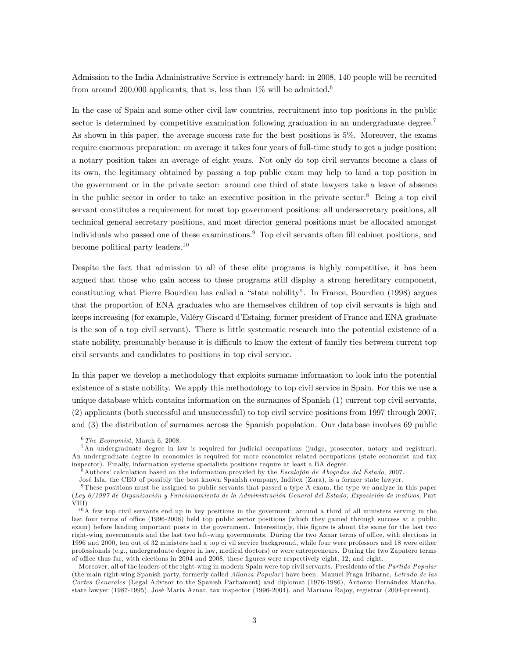Admission to the India Administrative Service is extremely hard: in 2008, 140 people will be recruited from around 200,000 applicants, that is, less than  $1\%$  will be admitted.<sup>6</sup>

In the case of Spain and some other civil law countries, recruitment into top positions in the public sector is determined by competitive examination following graduation in an undergraduate degree.<sup>7</sup> As shown in this paper, the average success rate for the best positions is 5%. Moreover, the exams require enormous preparation: on average it takes four years of full-time study to get a judge position; a notary position takes an average of eight years. Not only do top civil servants become a class of its own, the legitimacy obtained by passing a top public exam may help to land a top position in the government or in the private sector: around one third of state lawyers take a leave of absence in the public sector in order to take an executive position in the private sector.<sup>8</sup> Being a top civil servant constitutes a requirement for most top government positions: all undersecretary positions, all technical general secretary positions, and most director general positions must be allocated amongst individuals who passed one of these examinations.<sup>9</sup> Top civil servants often fill cabinet positions, and become political party leaders.<sup>10</sup>

Despite the fact that admission to all of these elite programs is highly competitive, it has been argued that those who gain access to these programs still display a strong hereditary component, constituting what Pierre Bourdieu has called a "state nobility". In France, Bourdieu (1998) argues that the proportion of ENA graduates who are themselves children of top civil servants is high and keeps increasing (for example, Valéry Giscard d'Estaing, former president of France and ENA graduate is the son of a top civil servant). There is little systematic research into the potential existence of a state nobility, presumably because it is difficult to know the extent of family ties between current top civil servants and candidates to positions in top civil service.

In this paper we develop a methodology that exploits surname information to look into the potential existence of a state nobility. We apply this methodology to top civil service in Spain. For this we use a unique database which contains information on the surnames of Spanish (1) current top civil servants, (2) applicants (both successful and unsuccessful) to top civil service positions from 1997 through 2007, and (3) the distribution of surnames across the Spanish population. Our database involves 69 public

 $6$  The Economist, March 6, 2008.

<sup>7</sup>An undergraduate degree in law is required for judicial occupations (judge, prosecutor, notary and registrar). An undergraduate degree in economics is required for more economics related occupations (state economist and tax inspector). Finally, information systems specialists positions require at least a BA degree.

 $8$ Authors' calculation based on the information provided by the *Escalafón de Abogados del Estado*, 2007.

JosÈ Isla, the CEO of possibly the best known Spanish company, Inditex (Zara), is a former state lawyer.

<sup>9</sup> These positions must be assigned to public servants that passed a type A exam, the type we analyze in this paper (Ley 6/1997 de Organización y Funcionamiento de la Administración General del Estado, Exposición de motivos, Part VIII)

 $10\text{\AA}$  few top civil servants end up in key positions in the goverment: around a third of all ministers serving in the last four terms of office (1996-2008) held top public sector positions (which they gained through success at a public exam) before landing important posts in the government. Interestingly, this figure is about the same for the last two right-wing governments and the last two left-wing governments. During the two Aznar terms of office, with elections in 1996 and 2000, ten out of 32 ministers had a top ci vil service background, while four were professors and 18 were either professionals (e.g., undergraduate degree in law, medical doctors) or were entrepreneurs. During the two Zapatero terms of office thus far, with elections in 2004 and 2008, these figures were respectively eight, 12, and eight.

Moreover, all of the leaders of the right-wing in modern Spain were top civil servants. Presidents of the Partido Popular (the main right-wing Spanish party, formerly called Alianza Popular) have been: Manuel Fraga Iribarne, Letrado de las Cortes Generales (Legal Advisor to the Spanish Parliament) and diplomat (1976-1986), Antonio Hernández Mancha, state lawyer (1987-1995), José María Aznar, tax inspector (1996-2004), and Mariano Rajoy, registrar (2004-present).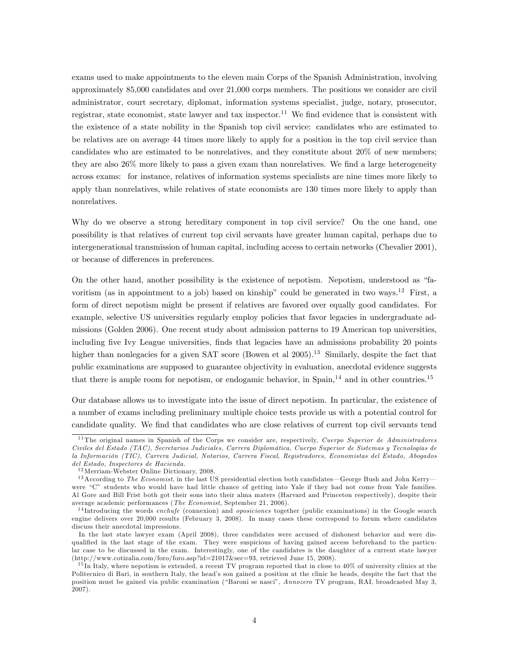exams used to make appointments to the eleven main Corps of the Spanish Administration, involving approximately 85,000 candidates and over 21,000 corps members. The positions we consider are civil administrator, court secretary, diplomat, information systems specialist, judge, notary, prosecutor, registrar, state economist, state lawyer and tax inspector.<sup>11</sup> We find evidence that is consistent with the existence of a state nobility in the Spanish top civil service: candidates who are estimated to be relatives are on average 44 times more likely to apply for a position in the top civil service than candidates who are estimated to be nonrelatives, and they constitute about 20% of new members; they are also  $26\%$  more likely to pass a given exam than nonrelatives. We find a large heterogeneity across exams: for instance, relatives of information systems specialists are nine times more likely to apply than nonrelatives, while relatives of state economists are 130 times more likely to apply than nonrelatives.

Why do we observe a strong hereditary component in top civil service? On the one hand, one possibility is that relatives of current top civil servants have greater human capital, perhaps due to intergenerational transmission of human capital, including access to certain networks (Chevalier 2001), or because of differences in preferences.

On the other hand, another possibility is the existence of nepotism. Nepotism, understood as "favoritism (as in appointment to a job) based on kinship" could be generated in two ways.<sup>12</sup> First, a form of direct nepotism might be present if relatives are favored over equally good candidates. For example, selective US universities regularly employ policies that favor legacies in undergraduate admissions (Golden 2006). One recent study about admission patterns to 19 American top universities, including five Ivy League universities, finds that legacies have an admissions probability 20 points higher than nonlegacies for a given SAT score (Bowen et al  $2005$ ).<sup>13</sup> Similarly, despite the fact that public examinations are supposed to guarantee objectivity in evaluation, anecdotal evidence suggests that there is ample room for nepotism, or endogamic behavior, in  $\text{Span}_{1}^{14}$  and in other countries.<sup>15</sup>

Our database allows us to investigate into the issue of direct nepotism. In particular, the existence of a number of exams including preliminary multiple choice tests provide us with a potential control for candidate quality. We find that candidates who are close relatives of current top civil servants tend

<sup>&</sup>lt;sup>11</sup> The original names in Spanish of the Corps we consider are, respectively, *Cuerpo Superior de Administradores* Civiles del Estado (TAC), Secretarios Judiciales, Carrera Diplomática, Cuerpo Superior de Sistemas y Tecnologías de la Información (TIC), Carrera Judicial, Notarios, Carrera Fiscal, Registradores, Economistas del Estado, Abogados del Estado, Inspectores de Hacienda.

<sup>&</sup>lt;sup>12</sup> Merriam-Webster Online Dictionary, 2008.

 $13$  According to The Economist, in the last US presidential election both candidates—George Bush and John Kerry were "C" students who would have had little chance of getting into Yale if they had not come from Yale families. Al Gore and Bill Frist both got their sons into their alma maters (Harvard and Princeton respectively), despite their average academic performances (The Economist, September 21, 2006).

 $14$ Introducing the words enchufe (connexion) and *oposiciones* together (public examinations) in the Google search engine delivers over 20,000 results (February 3, 2008). In many cases these correspond to forum where candidates discuss their anecdotal impressions.

In the last state lawyer exam (April 2008), three candidates were accused of dishonest behavior and were disqualified in the last stage of the exam. They were suspicious of having gained access beforehand to the particular case to be discussed in the exam. Interestingly, one of the candidates is the daughter of a current state lawyer (http://www.cotizalia.com/foro/foro.asp?id=21017&sec=93, retrieved June 15, 2008).

 $15$  In Italy, where nepotism is extended, a recent TV program reported that in close to  $40\%$  of university clinics at the Politecnico di Bari, in southern Italy, the head's son gained a position at the clinic he heads, despite the fact that the position must be gained via public examination ("Baroni se nasci", Annozero TV program, RAI, broadcasted May 3, 2007).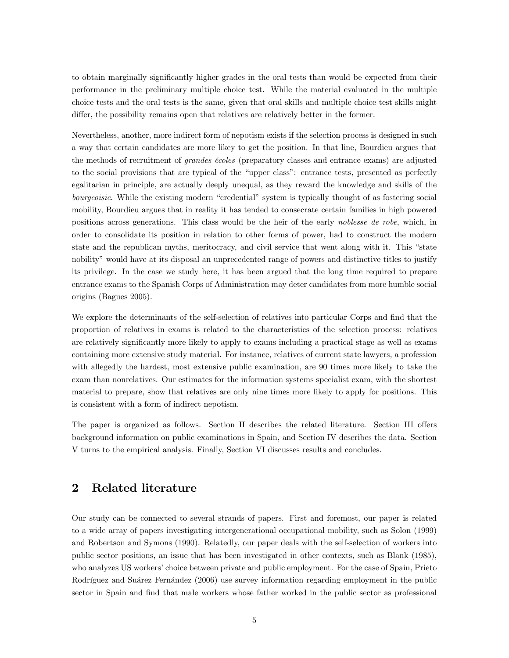to obtain marginally significantly higher grades in the oral tests than would be expected from their performance in the preliminary multiple choice test. While the material evaluated in the multiple choice tests and the oral tests is the same, given that oral skills and multiple choice test skills might differ, the possibility remains open that relatives are relatively better in the former.

Nevertheless, another, more indirect form of nepotism exists if the selection process is designed in such a way that certain candidates are more likey to get the position. In that line, Bourdieu argues that the methods of recruitment of *grandes écoles* (preparatory classes and entrance exams) are adjusted to the social provisions that are typical of the "upper class": entrance tests, presented as perfectly egalitarian in principle, are actually deeply unequal, as they reward the knowledge and skills of the bourgeoisie. While the existing modern "credential" system is typically thought of as fostering social mobility, Bourdieu argues that in reality it has tended to consecrate certain families in high powered positions across generations. This class would be the heir of the early noblesse de robe, which, in order to consolidate its position in relation to other forms of power, had to construct the modern state and the republican myths, meritocracy, and civil service that went along with it. This "state nobility" would have at its disposal an unprecedented range of powers and distinctive titles to justify its privilege. In the case we study here, it has been argued that the long time required to prepare entrance exams to the Spanish Corps of Administration may deter candidates from more humble social origins (Bagues 2005).

We explore the determinants of the self-selection of relatives into particular Corps and find that the proportion of relatives in exams is related to the characteristics of the selection process: relatives are relatively significantly more likely to apply to exams including a practical stage as well as exams containing more extensive study material. For instance, relatives of current state lawyers, a profession with allegedly the hardest, most extensive public examination, are 90 times more likely to take the exam than nonrelatives. Our estimates for the information systems specialist exam, with the shortest material to prepare, show that relatives are only nine times more likely to apply for positions. This is consistent with a form of indirect nepotism.

The paper is organized as follows. Section II describes the related literature. Section III offers background information on public examinations in Spain, and Section IV describes the data. Section V turns to the empirical analysis. Finally, Section VI discusses results and concludes.

# 2 Related literature

Our study can be connected to several strands of papers. First and foremost, our paper is related to a wide array of papers investigating intergenerational occupational mobility, such as Solon (1999) and Robertson and Symons (1990). Relatedly, our paper deals with the self-selection of workers into public sector positions, an issue that has been investigated in other contexts, such as Blank (1985), who analyzes US workers' choice between private and public employment. For the case of Spain, Prieto Rodríguez and Suárez Fernández (2006) use survey information regarding employment in the public sector in Spain and find that male workers whose father worked in the public sector as professional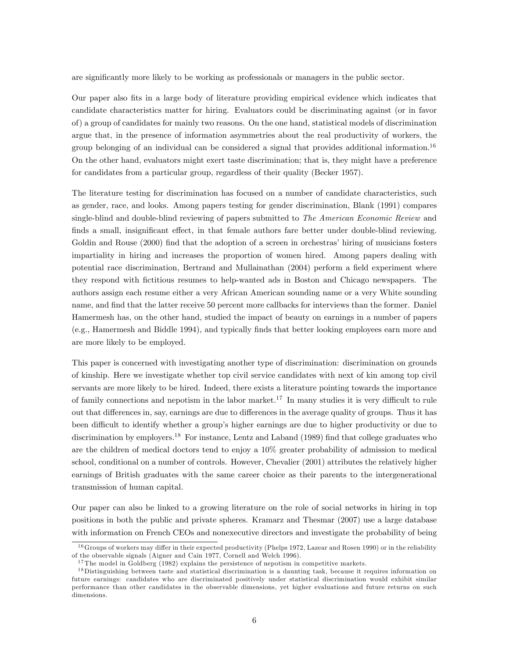are significantly more likely to be working as professionals or managers in the public sector.

Our paper also Öts in a large body of literature providing empirical evidence which indicates that candidate characteristics matter for hiring. Evaluators could be discriminating against (or in favor of) a group of candidates for mainly two reasons. On the one hand, statistical models of discrimination argue that, in the presence of information asymmetries about the real productivity of workers, the group belonging of an individual can be considered a signal that provides additional information.<sup>16</sup> On the other hand, evaluators might exert taste discrimination; that is, they might have a preference for candidates from a particular group, regardless of their quality (Becker 1957).

The literature testing for discrimination has focused on a number of candidate characteristics, such as gender, race, and looks. Among papers testing for gender discrimination, Blank (1991) compares single-blind and double-blind reviewing of papers submitted to *The American Economic Review* and finds a small, insignificant effect, in that female authors fare better under double-blind reviewing. Goldin and Rouse (2000) find that the adoption of a screen in orchestras' hiring of musicians fosters impartiality in hiring and increases the proportion of women hired. Among papers dealing with potential race discrimination, Bertrand and Mullainathan (2004) perform a field experiment where they respond with Öctitious resumes to help-wanted ads in Boston and Chicago newspapers. The authors assign each resume either a very African American sounding name or a very White sounding name, and find that the latter receive 50 percent more callbacks for interviews than the former. Daniel Hamermesh has, on the other hand, studied the impact of beauty on earnings in a number of papers (e.g., Hamermesh and Biddle 1994), and typically Önds that better looking employees earn more and are more likely to be employed.

This paper is concerned with investigating another type of discrimination: discrimination on grounds of kinship. Here we investigate whether top civil service candidates with next of kin among top civil servants are more likely to be hired. Indeed, there exists a literature pointing towards the importance of family connections and nepotism in the labor market.<sup>17</sup> In many studies it is very difficult to rule out that differences in, say, earnings are due to differences in the average quality of groups. Thus it has been difficult to identify whether a group's higher earnings are due to higher productivity or due to discrimination by employers.<sup>18</sup> For instance, Lentz and Laband (1989) find that college graduates who are the children of medical doctors tend to enjoy a 10% greater probability of admission to medical school, conditional on a number of controls. However, Chevalier (2001) attributes the relatively higher earnings of British graduates with the same career choice as their parents to the intergenerational transmission of human capital.

Our paper can also be linked to a growing literature on the role of social networks in hiring in top positions in both the public and private spheres. Kramarz and Thesmar (2007) use a large database with information on French CEOs and nonexecutive directors and investigate the probability of being

 $16$  Groups of workers may differ in their expected productivity (Phelps 1972, Lazear and Rosen 1990) or in the reliability of the observable signals (Aigner and Cain 1977, Cornell and Welch 1996).

<sup>&</sup>lt;sup>17</sup>The model in Goldberg (1982) explains the persistence of nepotism in competitive markets.

<sup>&</sup>lt;sup>18</sup>Distinguishing between taste and statistical discrimination is a daunting task, because it requires information on future earnings: candidates who are discriminated positively under statistical discrimination would exhibit similar performance than other candidates in the observable dimensions, yet higher evaluations and future returns on such dimensions.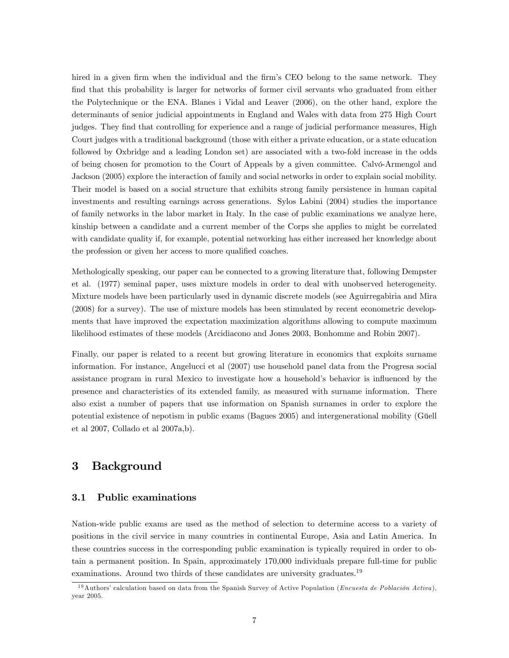hired in a given firm when the individual and the firm's CEO belong to the same network. They find that this probability is larger for networks of former civil servants who graduated from either the Polytechnique or the ENA. Blanes i Vidal and Leaver (2006), on the other hand, explore the determinants of senior judicial appointments in England and Wales with data from 275 High Court judges. They find that controlling for experience and a range of judicial performance measures, High Court judges with a traditional background (those with either a private education, or a state education followed by Oxbridge and a leading London set) are associated with a two-fold increase in the odds of being chosen for promotion to the Court of Appeals by a given committee. Calvo-Armengol and Jackson (2005) explore the interaction of family and social networks in order to explain social mobility. Their model is based on a social structure that exhibits strong family persistence in human capital investments and resulting earnings across generations. Sylos Labini (2004) studies the importance of family networks in the labor market in Italy. In the case of public examinations we analyze here, kinship between a candidate and a current member of the Corps she applies to might be correlated with candidate quality if, for example, potential networking has either increased her knowledge about the profession or given her access to more qualified coaches.

Methologically speaking, our paper can be connected to a growing literature that, following Dempster et al. (1977) seminal paper, uses mixture models in order to deal with unobserved heterogeneity. Mixture models have been particularly used in dynamic discrete models (see Aguirregabiria and Mira (2008) for a survey). The use of mixture models has been stimulated by recent econometric developments that have improved the expectation maximization algorithms allowing to compute maximum likelihood estimates of these models (Arcidiacono and Jones 2003, Bonhomme and Robin 2007).

Finally, our paper is related to a recent but growing literature in economics that exploits surname information. For instance, Angelucci et al (2007) use household panel data from the Progresa social assistance program in rural Mexico to investigate how a household's behavior is influenced by the presence and characteristics of its extended family, as measured with surname information. There also exist a number of papers that use information on Spanish surnames in order to explore the potential existence of nepotism in public exams (Bagues 2005) and intergenerational mobility (Güell et al 2007, Collado et al 2007a,b).

# 3 Background

### 3.1 Public examinations

Nation-wide public exams are used as the method of selection to determine access to a variety of positions in the civil service in many countries in continental Europe, Asia and Latin America. In these countries success in the corresponding public examination is typically required in order to obtain a permanent position. In Spain, approximately 170,000 individuals prepare full-time for public examinations. Around two thirds of these candidates are university graduates.<sup>19</sup>

<sup>&</sup>lt;sup>19</sup>Authors' calculation based on data from the Spanish Survey of Active Population (*Encuesta de Población Activa*), year 2005.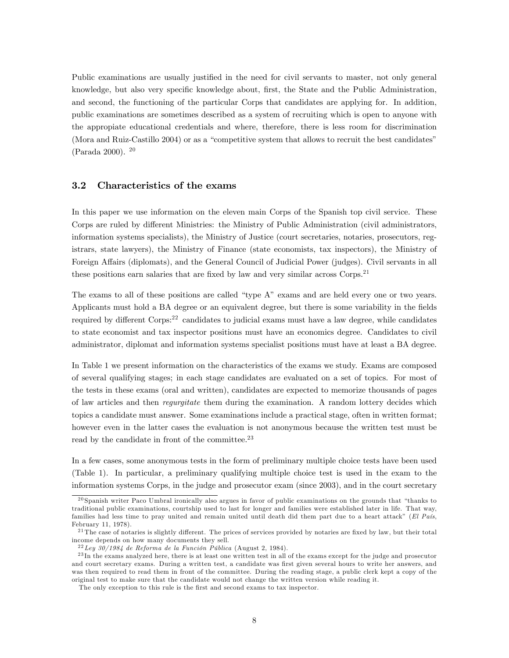Public examinations are usually justified in the need for civil servants to master, not only general knowledge, but also very specific knowledge about, first, the State and the Public Administration, and second, the functioning of the particular Corps that candidates are applying for. In addition, public examinations are sometimes described as a system of recruiting which is open to anyone with the appropiate educational credentials and where, therefore, there is less room for discrimination (Mora and Ruiz-Castillo  $2004$ ) or as a "competitive system that allows to recruit the best candidates" (Parada 2000). <sup>20</sup>

#### 3.2 Characteristics of the exams

In this paper we use information on the eleven main Corps of the Spanish top civil service. These Corps are ruled by different Ministries: the Ministry of Public Administration (civil administrators, information systems specialists), the Ministry of Justice (court secretaries, notaries, prosecutors, registrars, state lawyers), the Ministry of Finance (state economists, tax inspectors), the Ministry of Foreign Affairs (diplomats), and the General Council of Judicial Power (judges). Civil servants in all these positions earn salaries that are fixed by law and very similar across Corps.<sup>21</sup>

The exams to all of these positions are called "type  $A$ " exams and are held every one or two years. Applicants must hold a BA degree or an equivalent degree, but there is some variability in the fields required by different Corps:<sup>22</sup> candidates to judicial exams must have a law degree, while candidates to state economist and tax inspector positions must have an economics degree. Candidates to civil administrator, diplomat and information systems specialist positions must have at least a BA degree.

In Table 1 we present information on the characteristics of the exams we study. Exams are composed of several qualifying stages; in each stage candidates are evaluated on a set of topics. For most of the tests in these exams (oral and written), candidates are expected to memorize thousands of pages of law articles and then regurgitate them during the examination. A random lottery decides which topics a candidate must answer. Some examinations include a practical stage, often in written format; however even in the latter cases the evaluation is not anonymous because the written test must be read by the candidate in front of the committee.<sup>23</sup>

In a few cases, some anonymous tests in the form of preliminary multiple choice tests have been used (Table 1). In particular, a preliminary qualifying multiple choice test is used in the exam to the information systems Corps, in the judge and prosecutor exam (since 2003), and in the court secretary

 $^{20}$  Spanish writer Paco Umbral ironically also argues in favor of public examinations on the grounds that "thanks to" traditional public examinations, courtship used to last for longer and families were established later in life. That way, families had less time to pray united and remain united until death did them part due to a heart attack" (El País, February 11, 1978).

 $2<sup>1</sup>$  The case of notaries is slightly different. The prices of services provided by notaries are fixed by law, but their total income depends on how many documents they sell.

 $^{22}$ Ley 30/1984 de Reforma de la Función Pública (August 2, 1984).

<sup>&</sup>lt;sup>23</sup>In the exams analyzed here, there is at least one written test in all of the exams except for the judge and prosecutor and court secretary exams. During a written test, a candidate was first given several hours to write her answers, and was then required to read them in front of the committee. During the reading stage, a public clerk kept a copy of the original test to make sure that the candidate would not change the written version while reading it.

The only exception to this rule is the first and second exams to tax inspector.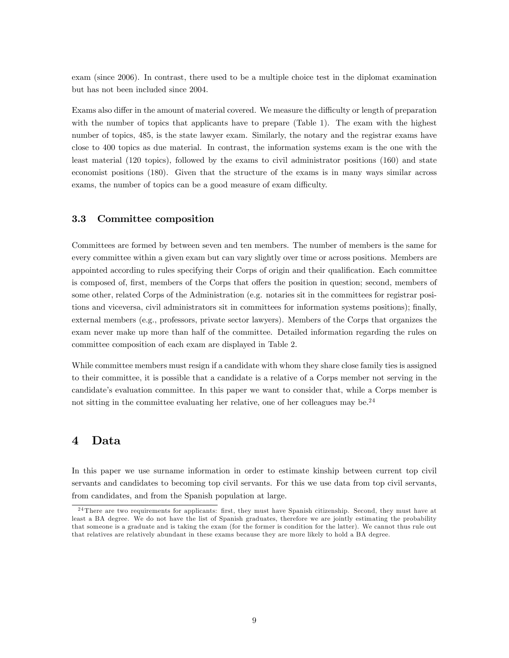exam (since 2006). In contrast, there used to be a multiple choice test in the diplomat examination but has not been included since 2004.

Exams also differ in the amount of material covered. We measure the difficulty or length of preparation with the number of topics that applicants have to prepare (Table 1). The exam with the highest number of topics, 485, is the state lawyer exam. Similarly, the notary and the registrar exams have close to 400 topics as due material. In contrast, the information systems exam is the one with the least material (120 topics), followed by the exams to civil administrator positions (160) and state economist positions (180). Given that the structure of the exams is in many ways similar across exams, the number of topics can be a good measure of exam difficulty.

#### 3.3 Committee composition

Committees are formed by between seven and ten members. The number of members is the same for every committee within a given exam but can vary slightly over time or across positions. Members are appointed according to rules specifying their Corps of origin and their qualification. Each committee is composed of, first, members of the Corps that offers the position in question; second, members of some other, related Corps of the Administration (e.g. notaries sit in the committees for registrar positions and viceversa, civil administrators sit in committees for information systems positions); Önally, external members (e.g., professors, private sector lawyers). Members of the Corps that organizes the exam never make up more than half of the committee. Detailed information regarding the rules on committee composition of each exam are displayed in Table 2.

While committee members must resign if a candidate with whom they share close family ties is assigned to their committee, it is possible that a candidate is a relative of a Corps member not serving in the candidate's evaluation committee. In this paper we want to consider that, while a Corps member is not sitting in the committee evaluating her relative, one of her colleagues may be.<sup>24</sup>

### 4 Data

In this paper we use surname information in order to estimate kinship between current top civil servants and candidates to becoming top civil servants. For this we use data from top civil servants, from candidates, and from the Spanish population at large.

<sup>&</sup>lt;sup>24</sup> There are two requirements for applicants: first, they must have Spanish citizenship. Second, they must have at least a BA degree. We do not have the list of Spanish graduates, therefore we are jointly estimating the probability that someone is a graduate and is taking the exam (for the former is condition for the latter). We cannot thus rule out that relatives are relatively abundant in these exams because they are more likely to hold a BA degree.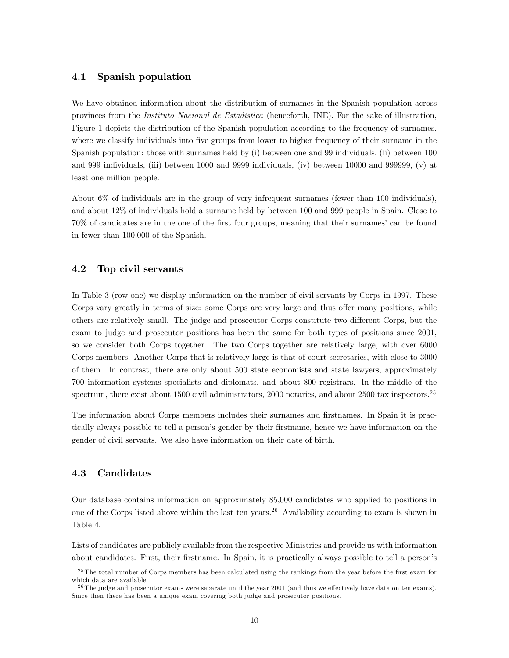### 4.1 Spanish population

We have obtained information about the distribution of surnames in the Spanish population across provinces from the Instituto Nacional de Estadística (henceforth, INE). For the sake of illustration, Figure 1 depicts the distribution of the Spanish population according to the frequency of surnames, where we classify individuals into five groups from lower to higher frequency of their surname in the Spanish population: those with surnames held by (i) between one and 99 individuals, (ii) between 100 and 999 individuals, (iii) between 1000 and 9999 individuals, (iv) between 10000 and 999999, (v) at least one million people.

About 6% of individuals are in the group of very infrequent surnames (fewer than 100 individuals), and about 12% of individuals hold a surname held by between 100 and 999 people in Spain. Close to 70% of candidates are in the one of the first four groups, meaning that their surnames' can be found in fewer than 100,000 of the Spanish.

### 4.2 Top civil servants

In Table 3 (row one) we display information on the number of civil servants by Corps in 1997. These Corps vary greatly in terms of size: some Corps are very large and thus offer many positions, while others are relatively small. The judge and prosecutor Corps constitute two different Corps, but the exam to judge and prosecutor positions has been the same for both types of positions since 2001, so we consider both Corps together. The two Corps together are relatively large, with over 6000 Corps members. Another Corps that is relatively large is that of court secretaries, with close to 3000 of them. In contrast, there are only about 500 state economists and state lawyers, approximately 700 information systems specialists and diplomats, and about 800 registrars. In the middle of the spectrum, there exist about 1500 civil administrators, 2000 notaries, and about 2500 tax inspectors.<sup>25</sup>

The information about Corps members includes their surnames and firstnames. In Spain it is practically always possible to tell a person's gender by their firstname, hence we have information on the gender of civil servants. We also have information on their date of birth.

### 4.3 Candidates

Our database contains information on approximately 85,000 candidates who applied to positions in one of the Corps listed above within the last ten years.<sup>26</sup> Availability according to exam is shown in Table 4.

Lists of candidates are publicly available from the respective Ministries and provide us with information about candidates. First, their firstname. In Spain, it is practically always possible to tell a person's

<sup>&</sup>lt;sup>25</sup> The total number of Corps members has been calculated using the rankings from the year before the first exam for which data are available.

<sup>&</sup>lt;sup>26</sup> The judge and prosecutor exams were separate until the year 2001 (and thus we effectively have data on ten exams). Since then there has been a unique exam covering both judge and prosecutor positions.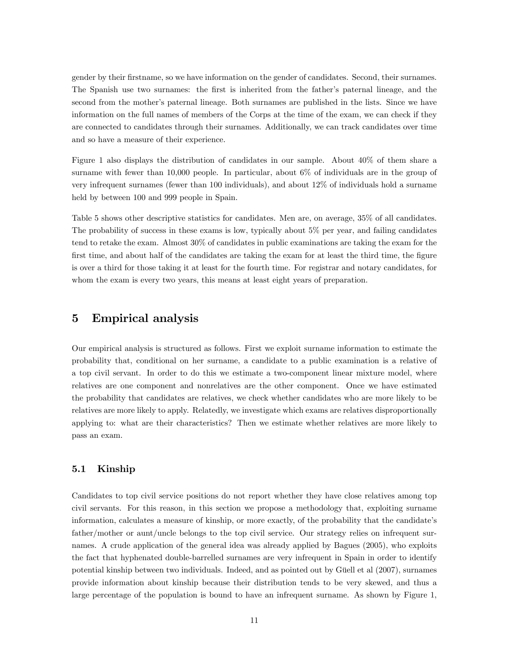gender by their firstname, so we have information on the gender of candidates. Second, their surnames. The Spanish use two surnames: the first is inherited from the father's paternal lineage, and the second from the mother's paternal lineage. Both surnames are published in the lists. Since we have information on the full names of members of the Corps at the time of the exam, we can check if they are connected to candidates through their surnames. Additionally, we can track candidates over time and so have a measure of their experience.

Figure 1 also displays the distribution of candidates in our sample. About 40% of them share a surname with fewer than 10,000 people. In particular, about 6% of individuals are in the group of very infrequent surnames (fewer than 100 individuals), and about 12% of individuals hold a surname held by between 100 and 999 people in Spain.

Table 5 shows other descriptive statistics for candidates. Men are, on average, 35% of all candidates. The probability of success in these exams is low, typically about 5% per year, and failing candidates tend to retake the exam. Almost 30% of candidates in public examinations are taking the exam for the first time, and about half of the candidates are taking the exam for at least the third time, the figure is over a third for those taking it at least for the fourth time. For registrar and notary candidates, for whom the exam is every two years, this means at least eight years of preparation.

# 5 Empirical analysis

Our empirical analysis is structured as follows. First we exploit surname information to estimate the probability that, conditional on her surname, a candidate to a public examination is a relative of a top civil servant. In order to do this we estimate a two-component linear mixture model, where relatives are one component and nonrelatives are the other component. Once we have estimated the probability that candidates are relatives, we check whether candidates who are more likely to be relatives are more likely to apply. Relatedly, we investigate which exams are relatives disproportionally applying to: what are their characteristics? Then we estimate whether relatives are more likely to pass an exam.

### 5.1 Kinship

Candidates to top civil service positions do not report whether they have close relatives among top civil servants. For this reason, in this section we propose a methodology that, exploiting surname information, calculates a measure of kinship, or more exactly, of the probability that the candidate's father/mother or aunt/uncle belongs to the top civil service. Our strategy relies on infrequent surnames. A crude application of the general idea was already applied by Bagues (2005), who exploits the fact that hyphenated double-barrelled surnames are very infrequent in Spain in order to identify potential kinship between two individuals. Indeed, and as pointed out by Güell et al (2007), surnames provide information about kinship because their distribution tends to be very skewed, and thus a large percentage of the population is bound to have an infrequent surname. As shown by Figure 1,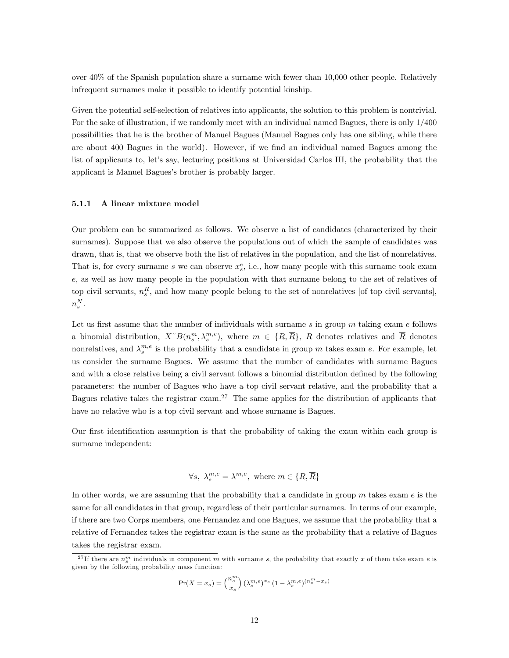over 40% of the Spanish population share a surname with fewer than 10,000 other people. Relatively infrequent surnames make it possible to identify potential kinship.

Given the potential self-selection of relatives into applicants, the solution to this problem is nontrivial. For the sake of illustration, if we randomly meet with an individual named Bagues, there is only 1/400 possibilities that he is the brother of Manuel Bagues (Manuel Bagues only has one sibling, while there are about 400 Bagues in the world). However, if we find an individual named Bagues among the list of applicants to, let's say, lecturing positions at Universidad Carlos III, the probability that the applicant is Manuel Bagues's brother is probably larger.

#### 5.1.1 A linear mixture model

Our problem can be summarized as follows. We observe a list of candidates (characterized by their surnames). Suppose that we also observe the populations out of which the sample of candidates was drawn, that is, that we observe both the list of relatives in the population, and the list of nonrelatives. That is, for every surname s we can observe  $x_s^e$ , i.e., how many people with this surname took exam e, as well as how many people in the population with that surname belong to the set of relatives of top civil servants,  $n_s^R$ , and how many people belong to the set of nonrelatives [of top civil servants],  $n_s^N$  .

Let us first assume that the number of individuals with surname  $s$  in group m taking exam  $e$  follows a binomial distribution,  $X^{\dagger}B(n_s^m, \lambda_s^{m,e})$ , where  $m \in \{R, \overline{R}\}, R$  denotes relatives and  $\overline{R}$  denotes nonrelatives, and  $\lambda_s^{m,e}$  is the probability that a candidate in group m takes exam e. For example, let us consider the surname Bagues. We assume that the number of candidates with surname Bagues and with a close relative being a civil servant follows a binomial distribution defined by the following parameters: the number of Bagues who have a top civil servant relative, and the probability that a Bagues relative takes the registrar exam.<sup>27</sup> The same applies for the distribution of applicants that have no relative who is a top civil servant and whose surname is Bagues.

Our first identification assumption is that the probability of taking the exam within each group is surname independent:

$$
\forall s, \ \lambda_s^{m,e} = \lambda^{m,e}, \text{ where } m \in \{R, \overline{R}\}\
$$

In other words, we are assuming that the probability that a candidate in group  $m$  takes exam  $e$  is the same for all candidates in that group, regardless of their particular surnames. In terms of our example, if there are two Corps members, one Fernandez and one Bagues, we assume that the probability that a relative of Fernandez takes the registrar exam is the same as the probability that a relative of Bagues takes the registrar exam.

$$
\Pr(X = x_s) = \binom{n_s^m}{x_s} \left(\lambda_s^{m,e}\right)^{x_s} \left(1 - \lambda_s^{m,e}\right)^{\left(n_s^m - x_s\right)}
$$

<sup>&</sup>lt;sup>27</sup>If there are  $n_s^m$  individuals in component m with surname s, the probability that exactly x of them take exam e is given by the following probability mass function: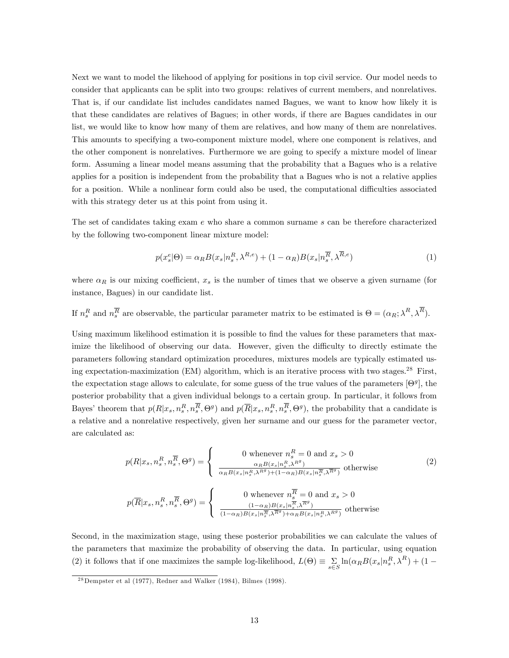Next we want to model the likehood of applying for positions in top civil service. Our model needs to consider that applicants can be split into two groups: relatives of current members, and nonrelatives. That is, if our candidate list includes candidates named Bagues, we want to know how likely it is that these candidates are relatives of Bagues; in other words, if there are Bagues candidates in our list, we would like to know how many of them are relatives, and how many of them are nonrelatives. This amounts to specifying a two-component mixture model, where one component is relatives, and the other component is nonrelatives. Furthermore we are going to specify a mixture model of linear form. Assuming a linear model means assuming that the probability that a Bagues who is a relative applies for a position is independent from the probability that a Bagues who is not a relative applies for a position. While a nonlinear form could also be used, the computational difficulties associated with this strategy deter us at this point from using it.

The set of candidates taking exam e who share a common surname s can be therefore characterized by the following two-component linear mixture model:

$$
p(x_s^e|\Theta) = \alpha_R B(x_s|n_s^R, \lambda^{R,e}) + (1 - \alpha_R)B(x_s|n_s^{\overline{R}}, \lambda^{\overline{R},e})
$$
\n(1)

where  $\alpha_R$  is our mixing coefficient,  $x_s$  is the number of times that we observe a given surname (for instance, Bagues) in our candidate list.

If  $n_s^R$  and  $n_s^{\overline{R}}$  are observable, the particular parameter matrix to be estimated is  $\Theta = (\alpha_R; \lambda^R, \lambda^R)$ .

Using maximum likelihood estimation it is possible to find the values for these parameters that maximize the likelihood of observing our data. However, given the difficulty to directly estimate the parameters following standard optimization procedures, mixtures models are typically estimated using expectation-maximization (EM) algorithm, which is an iterative process with two stages.<sup>28</sup> First, the expectation stage allows to calculate, for some guess of the true values of the parameters  $[\Theta^g]$ , the posterior probability that a given individual belongs to a certain group. In particular, it follows from Bayes' theorem that  $p(R|x_s, n_s^R, n_s^R, \Theta^g)$  and  $p(\overline{R}|x_s, n_s^R, n_s^R, \Theta^g)$ , the probability that a candidate is a relative and a nonrelative respectively, given her surname and our guess for the parameter vector, are calculated as:

$$
p(R|x_s, n_s^R, n_s^{\overline{R}}, \Theta^g) = \begin{cases} 0 \text{ whenever } n_s^R = 0 \text{ and } x_s > 0\\ \frac{\alpha_R B(x_s | n_s^R, \lambda^{R^g})}{\alpha_R B(x_s | n_s^R, \lambda^{R^g}) + (1 - \alpha_R)B(x_s | n_s^{\overline{R}}, \lambda^{\overline{R}^g})} \text{ otherwise} \end{cases} (2)
$$
  

$$
p(\overline{R}|x_s, n_s^R, n_s^{\overline{R}}, \Theta^g) = \begin{cases} 0 \text{ whenever } n_s^{\overline{R}} = 0 \text{ and } x_s > 0\\ \frac{(1 - \alpha_R)B(x_s | n_s^{\overline{R}}, \lambda^{\overline{R}^g})}{(1 - \alpha_R)B(x_s | n_s^{\overline{R}}, \lambda^{\overline{R}^g}) + \alpha_R B(x_s | n_s^R, \lambda^{R^g})} \text{ otherwise} \end{cases}
$$

Second, in the maximization stage, using these posterior probabilities we can calculate the values of the parameters that maximize the probability of observing the data. In particular, using equation (2) it follows that if one maximizes the sample log-likelihood,  $L(\Theta) \equiv \sum_{s \in S} \ln(\alpha_R B(x_s|n_s^R, \lambda^R) + (1 - \sum_{s \in S} \ln(\alpha_s n_s^R - \lambda^R))$ 

 $28$ Dempster et al (1977), Redner and Walker (1984), Bilmes (1998).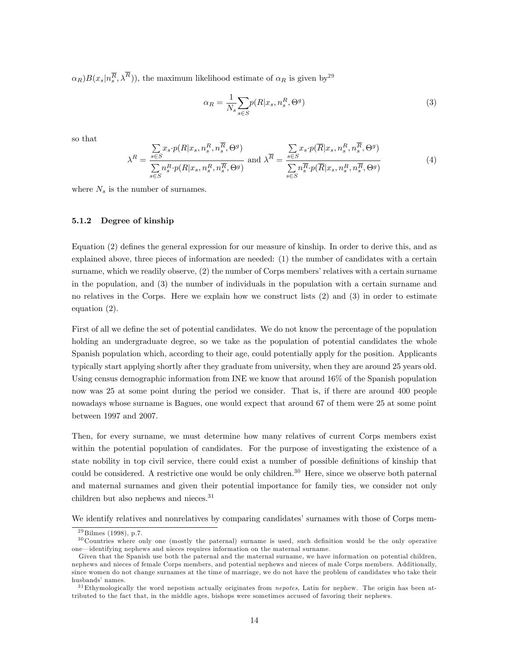$(\alpha_R)B(x_s|n_s^{\overline{R}},\lambda^R)$ , the maximum likelihood estimate of  $\alpha_R$  is given by  $2^9$ 

$$
\alpha_R = \frac{1}{N_s} \sum_{s \in S} p(R | x_s, n_s^R, \Theta^g)
$$
\n(3)

so that

$$
\lambda^{R} = \frac{\sum_{s \in S} x_{s} \cdot p(R|x_{s}, n_{s}^{R}, n_{s}^{\overline{R}}, \Theta^{g})}{\sum_{s \in S} n_{s}^{R} \cdot p(R|x_{s}, n_{s}^{R}, n_{s}^{\overline{R}}, \Theta^{g})} \text{ and } \lambda^{\overline{R}} = \frac{\sum_{s \in S} x_{s} \cdot p(\overline{R}|x_{s}, n_{s}^{R}, n_{s}^{\overline{R}}, \Theta^{g})}{\sum_{s \in S} n_{s}^{\overline{R}} \cdot p(\overline{R}|x_{s}, n_{s}^{R}, n_{s}^{\overline{R}}, \Theta^{g})}
$$
(4)

where  $N_s$  is the number of surnames.

#### 5.1.2 Degree of kinship

Equation (2) defines the general expression for our measure of kinship. In order to derive this, and as explained above, three pieces of information are needed: (1) the number of candidates with a certain surname, which we readily observe,  $(2)$  the number of Corps members' relatives with a certain surname in the population, and (3) the number of individuals in the population with a certain surname and no relatives in the Corps. Here we explain how we construct lists (2) and (3) in order to estimate equation (2).

First of all we define the set of potential candidates. We do not know the percentage of the population holding an undergraduate degree, so we take as the population of potential candidates the whole Spanish population which, according to their age, could potentially apply for the position. Applicants typically start applying shortly after they graduate from university, when they are around 25 years old. Using census demographic information from INE we know that around 16% of the Spanish population now was 25 at some point during the period we consider. That is, if there are around 400 people nowadays whose surname is Bagues, one would expect that around 67 of them were 25 at some point between 1997 and 2007.

Then, for every surname, we must determine how many relatives of current Corps members exist within the potential population of candidates. For the purpose of investigating the existence of a state nobility in top civil service, there could exist a number of possible definitions of kinship that could be considered. A restrictive one would be only children.<sup>30</sup> Here, since we observe both paternal and maternal surnames and given their potential importance for family ties, we consider not only children but also nephews and nieces.<sup>31</sup>

We identify relatives and nonrelatives by comparing candidates' surnames with those of Corps mem-

 $^{29}$ Bilmes (1998), p.7.

 $30$  Countries where only one (mostly the paternal) surname is used, such definition would be the only operative one—identifying nephews and nieces requires information on the maternal surname.

Given that the Spanish use both the paternal and the maternal surname, we have information on potential children, nephews and nieces of female Corps members, and potential nephews and nieces of male Corps members. Additionally, since women do not change surnames at the time of marriage, we do not have the problem of candidates who take their husbands' names.

 $31$ Ethymologically the word nepotism actually originates from *nepotes*, Latin for nephew. The origin has been attributed to the fact that, in the middle ages, bishops were sometimes accused of favoring their nephews.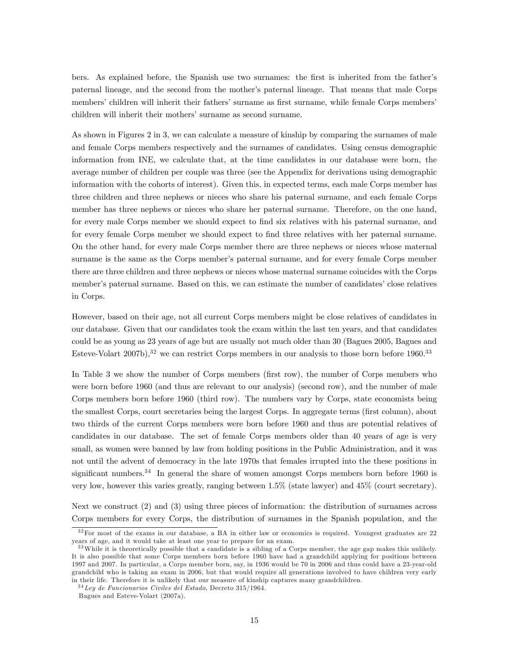bers. As explained before, the Spanish use two surnames: the first is inherited from the father's paternal lineage, and the second from the motherís paternal lineage. That means that male Corps members' children will inherit their fathers' surname as first surname, while female Corps members' children will inherit their mothers' surname as second surname.

As shown in Figures 2 in 3, we can calculate a measure of kinship by comparing the surnames of male and female Corps members respectively and the surnames of candidates. Using census demographic information from INE, we calculate that, at the time candidates in our database were born, the average number of children per couple was three (see the Appendix for derivations using demographic information with the cohorts of interest). Given this, in expected terms, each male Corps member has three children and three nephews or nieces who share his paternal surname, and each female Corps member has three nephews or nieces who share her paternal surname. Therefore, on the one hand, for every male Corps member we should expect to find six relatives with his paternal surname, and for every female Corps member we should expect to find three relatives with her paternal surname. On the other hand, for every male Corps member there are three nephews or nieces whose maternal surname is the same as the Corps member's paternal surname, and for every female Corps member there are three children and three nephews or nieces whose maternal surname coincides with the Corps member's paternal surname. Based on this, we can estimate the number of candidates' close relatives in Corps.

However, based on their age, not all current Corps members might be close relatives of candidates in our database. Given that our candidates took the exam within the last ten years, and that candidates could be as young as 23 years of age but are usually not much older than 30 (Bagues 2005, Bagues and Esteve-Volart  $2007b$ ,<sup>32</sup> we can restrict Corps members in our analysis to those born before 1960.<sup>33</sup>

In Table 3 we show the number of Corps members (first row), the number of Corps members who were born before 1960 (and thus are relevant to our analysis) (second row), and the number of male Corps members born before 1960 (third row). The numbers vary by Corps, state economists being the smallest Corps, court secretaries being the largest Corps. In aggregate terms (first column), about two thirds of the current Corps members were born before 1960 and thus are potential relatives of candidates in our database. The set of female Corps members older than 40 years of age is very small, as women were banned by law from holding positions in the Public Administration, and it was not until the advent of democracy in the late 1970s that females irrupted into the these positions in significant numbers.<sup>34</sup> In general the share of women amongst Corps members born before 1960 is very low, however this varies greatly, ranging between 1.5% (state lawyer) and 45% (court secretary).

Next we construct (2) and (3) using three pieces of information: the distribution of surnames across Corps members for every Corps, the distribution of surnames in the Spanish population, and the

 $32$  For most of the exams in our database, a BA in either law or economics is required. Youngest graduates are 22 years of age, and it would take at least one year to prepare for an exam.

<sup>&</sup>lt;sup>33</sup> While it is theoretically possible that a candidate is a sibling of a Corps member, the age gap makes this unlikely. It is also possible that some Corps members born before 1960 have had a grandchild applying for positions between 1997 and 2007. In particular, a Corps member born, say, in 1936 would be 70 in 2006 and thus could have a 23-year-old grandchild who is taking an exam in 2006, but that would require all generations involved to have children very early in their life. Therefore it is unlikely that our measure of kinship captures many grandchildren.

 $34$  Ley de Funcionarios Civiles del Estado, Decreto 315/1964.

Bagues and Esteve-Volart (2007a).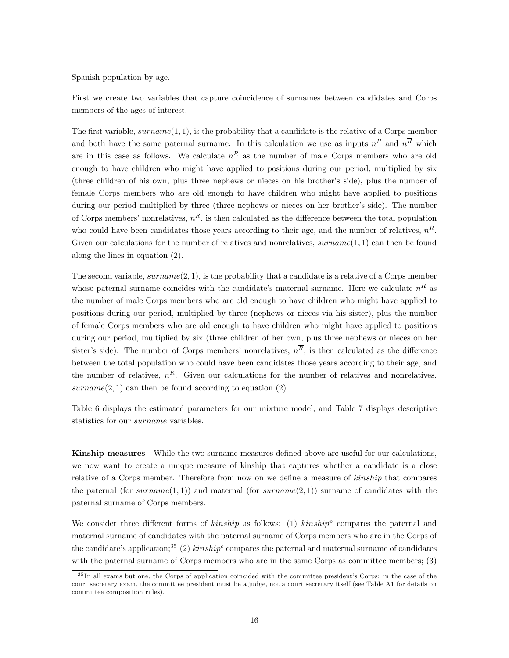Spanish population by age.

First we create two variables that capture coincidence of surnames between candidates and Corps members of the ages of interest.

The first variable,  $\text{sumname}(1, 1)$ , is the probability that a candidate is the relative of a Corps member and both have the same paternal surname. In this calculation we use as inputs  $n<sup>R</sup>$  and  $n<sup>R</sup>$  which are in this case as follows. We calculate  $n<sup>R</sup>$  as the number of male Corps members who are old enough to have children who might have applied to positions during our period, multiplied by six (three children of his own, plus three nephews or nieces on his brotherís side), plus the number of female Corps members who are old enough to have children who might have applied to positions during our period multiplied by three (three nephews or nieces on her brother's side). The number of Corps members' nonrelatives,  $n^R$ , is then calculated as the difference between the total population who could have been candidates those years according to their age, and the number of relatives,  $n<sup>R</sup>$ . Given our calculations for the number of relatives and nonrelatives,  $\textit{surname}(1,1)$  can then be found along the lines in equation (2).

The second variable,  $sumname(2, 1)$ , is the probability that a candidate is a relative of a Corps member whose paternal surname coincides with the candidate's maternal surname. Here we calculate  $n<sup>R</sup>$  as the number of male Corps members who are old enough to have children who might have applied to positions during our period, multiplied by three (nephews or nieces via his sister), plus the number of female Corps members who are old enough to have children who might have applied to positions during our period, multiplied by six (three children of her own, plus three nephews or nieces on her sister's side). The number of Corps members' nonrelatives,  $n^R$ , is then calculated as the difference between the total population who could have been candidates those years according to their age, and the number of relatives,  $n<sup>R</sup>$ . Given our calculations for the number of relatives and nonrelatives,  $\text{surname}(2,1)$  can then be found according to equation (2).

Table 6 displays the estimated parameters for our mixture model, and Table 7 displays descriptive statistics for our surname variables.

Kinship measures While the two surname measures defined above are useful for our calculations, we now want to create a unique measure of kinship that captures whether a candidate is a close relative of a Corps member. Therefore from now on we define a measure of kinship that compares the paternal (for surname(1,1)) and maternal (for surname(2,1)) surname of candidates with the paternal surname of Corps members.

We consider three different forms of kinship as follows: (1) kinship<sup>p</sup> compares the paternal and maternal surname of candidates with the paternal surname of Corps members who are in the Corps of the candidate's application;<sup>35</sup> (2)  $kinship^c$  compares the paternal and maternal surname of candidates with the paternal surname of Corps members who are in the same Corps as committee members; (3)

<sup>&</sup>lt;sup>35</sup>In all exams but one, the Corps of application coincided with the committee president's Corps: in the case of the court secretary exam, the committee president must be a judge, not a court secretary itself (see Table A1 for details on committee composition rules).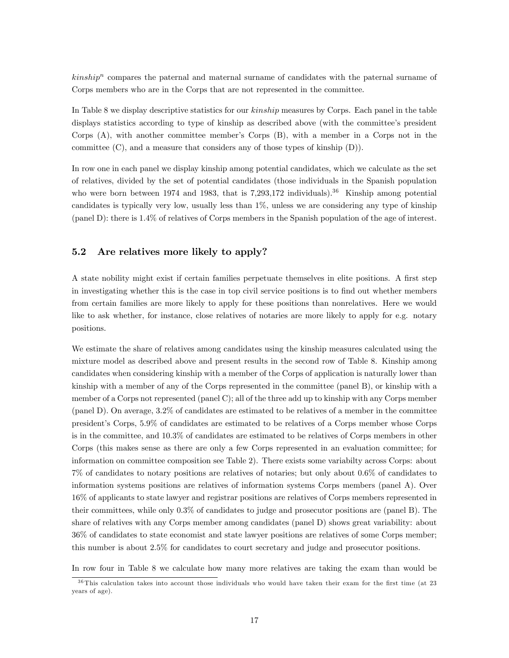$kinship<sup>n</sup>$  compares the paternal and maternal surname of candidates with the paternal surname of Corps members who are in the Corps that are not represented in the committee.

In Table 8 we display descriptive statistics for our kinship measures by Corps. Each panel in the table displays statistics according to type of kinship as described above (with the committee's president Corps  $(A)$ , with another committee member's Corps  $(B)$ , with a member in a Corps not in the committee (C), and a measure that considers any of those types of kinship (D)).

In row one in each panel we display kinship among potential candidates, which we calculate as the set of relatives, divided by the set of potential candidates (those individuals in the Spanish population who were born between 1974 and 1983, that is 7,293,172 individuals).<sup>36</sup> Kinship among potential candidates is typically very low, usually less than 1%, unless we are considering any type of kinship (panel D): there is 1.4% of relatives of Corps members in the Spanish population of the age of interest.

### 5.2 Are relatives more likely to apply?

A state nobility might exist if certain families perpetuate themselves in elite positions. A first step in investigating whether this is the case in top civil service positions is to find out whether members from certain families are more likely to apply for these positions than nonrelatives. Here we would like to ask whether, for instance, close relatives of notaries are more likely to apply for e.g. notary positions.

We estimate the share of relatives among candidates using the kinship measures calculated using the mixture model as described above and present results in the second row of Table 8. Kinship among candidates when considering kinship with a member of the Corps of application is naturally lower than kinship with a member of any of the Corps represented in the committee (panel B), or kinship with a member of a Corps not represented (panel C); all of the three add up to kinship with any Corps member (panel D). On average, 3.2% of candidates are estimated to be relatives of a member in the committee presidentís Corps, 5.9% of candidates are estimated to be relatives of a Corps member whose Corps is in the committee, and 10.3% of candidates are estimated to be relatives of Corps members in other Corps (this makes sense as there are only a few Corps represented in an evaluation committee; for information on committee composition see Table 2). There exists some variabilty across Corps: about 7% of candidates to notary positions are relatives of notaries; but only about 0.6% of candidates to information systems positions are relatives of information systems Corps members (panel A). Over 16% of applicants to state lawyer and registrar positions are relatives of Corps members represented in their committees, while only 0.3% of candidates to judge and prosecutor positions are (panel B). The share of relatives with any Corps member among candidates (panel D) shows great variability: about 36% of candidates to state economist and state lawyer positions are relatives of some Corps member; this number is about 2.5% for candidates to court secretary and judge and prosecutor positions.

In row four in Table 8 we calculate how many more relatives are taking the exam than would be

 $36$  This calculation takes into account those individuals who would have taken their exam for the first time (at 23 years of age).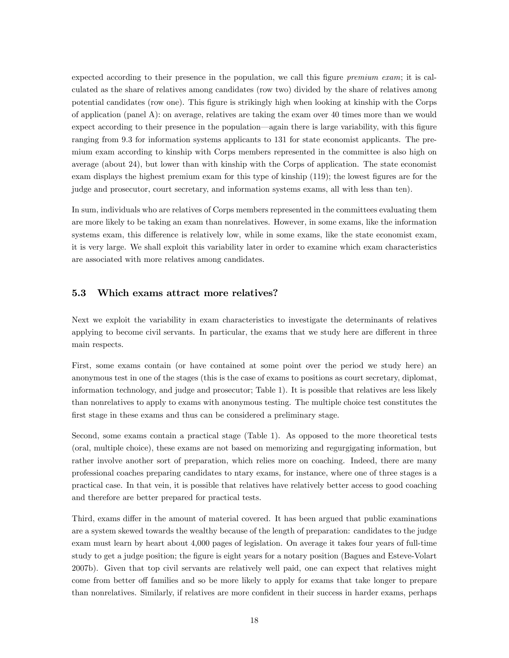expected according to their presence in the population, we call this figure *premium exam*; it is calculated as the share of relatives among candidates (row two) divided by the share of relatives among potential candidates (row one). This Ögure is strikingly high when looking at kinship with the Corps of application (panel A): on average, relatives are taking the exam over 40 times more than we would expect according to their presence in the population—again there is large variability, with this figure ranging from 9.3 for information systems applicants to 131 for state economist applicants. The premium exam according to kinship with Corps members represented in the committee is also high on average (about 24), but lower than with kinship with the Corps of application. The state economist exam displays the highest premium exam for this type of kinship (119); the lowest figures are for the judge and prosecutor, court secretary, and information systems exams, all with less than ten).

In sum, individuals who are relatives of Corps members represented in the committees evaluating them are more likely to be taking an exam than nonrelatives. However, in some exams, like the information systems exam, this difference is relatively low, while in some exams, like the state economist exam, it is very large. We shall exploit this variability later in order to examine which exam characteristics are associated with more relatives among candidates.

#### 5.3 Which exams attract more relatives?

Next we exploit the variability in exam characteristics to investigate the determinants of relatives applying to become civil servants. In particular, the exams that we study here are different in three main respects.

First, some exams contain (or have contained at some point over the period we study here) an anonymous test in one of the stages (this is the case of exams to positions as court secretary, diplomat, information technology, and judge and prosecutor; Table 1). It is possible that relatives are less likely than nonrelatives to apply to exams with anonymous testing. The multiple choice test constitutes the first stage in these exams and thus can be considered a preliminary stage.

Second, some exams contain a practical stage (Table 1). As opposed to the more theoretical tests (oral, multiple choice), these exams are not based on memorizing and regurgigating information, but rather involve another sort of preparation, which relies more on coaching. Indeed, there are many professional coaches preparing candidates to ntary exams, for instance, where one of three stages is a practical case. In that vein, it is possible that relatives have relatively better access to good coaching and therefore are better prepared for practical tests.

Third, exams differ in the amount of material covered. It has been argued that public examinations are a system skewed towards the wealthy because of the length of preparation: candidates to the judge exam must learn by heart about 4,000 pages of legislation. On average it takes four years of full-time study to get a judge position; the figure is eight years for a notary position (Bagues and Esteve-Volart 2007b). Given that top civil servants are relatively well paid, one can expect that relatives might come from better off families and so be more likely to apply for exams that take longer to prepare than nonrelatives. Similarly, if relatives are more confident in their success in harder exams, perhaps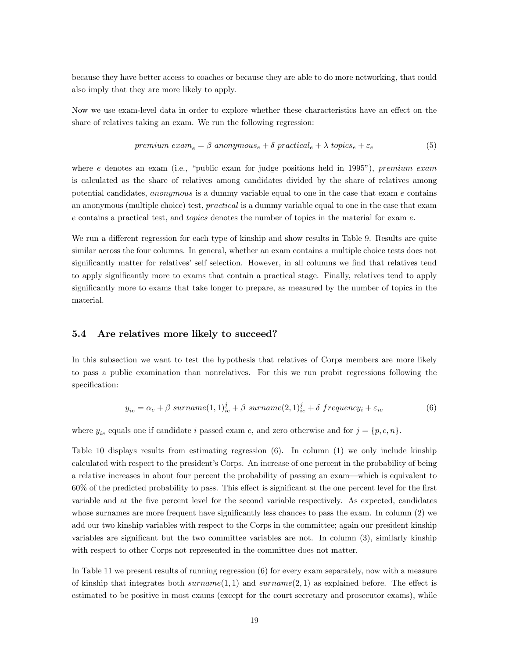because they have better access to coaches or because they are able to do more networking, that could also imply that they are more likely to apply.

Now we use exam-level data in order to explore whether these characteristics have an effect on the share of relatives taking an exam. We run the following regression:

$$
premium\ exam_e = \beta\ anonymous_e + \delta\ practical_e + \lambda\ topics_e + \varepsilon_e \tag{5}
$$

where e denotes an exam (i.e., "public exam for judge positions held in 1995"), premium exam is calculated as the share of relatives among candidates divided by the share of relatives among potential candidates, anonymous is a dummy variable equal to one in the case that exam e contains an anonymous (multiple choice) test, practical is a dummy variable equal to one in the case that exam e contains a practical test, and topics denotes the number of topics in the material for exam e.

We run a different regression for each type of kinship and show results in Table 9. Results are quite similar across the four columns. In general, whether an exam contains a multiple choice tests does not significantly matter for relatives' self selection. However, in all columns we find that relatives tend to apply significantly more to exams that contain a practical stage. Finally, relatives tend to apply significantly more to exams that take longer to prepare, as measured by the number of topics in the material.

#### 5.4 Are relatives more likely to succeed?

In this subsection we want to test the hypothesis that relatives of Corps members are more likely to pass a public examination than nonrelatives. For this we run probit regressions following the specification:

$$
y_{ie} = \alpha_e + \beta \; sumame(1,1)_{ie}^j + \beta \; sumame(2,1)_{ie}^j + \delta \; frequency_i + \varepsilon_{ie}
$$
 (6)

where  $y_{ie}$  equals one if candidate i passed exam e, and zero otherwise and for  $j = \{p, c, n\}.$ 

Table 10 displays results from estimating regression (6). In column (1) we only include kinship calculated with respect to the president's Corps. An increase of one percent in the probability of being a relative increases in about four percent the probability of passing an exam—which is equivalent to  $60\%$  of the predicted probability to pass. This effect is significant at the one percent level for the first variable and at the Öve percent level for the second variable respectively. As expected, candidates whose surnames are more frequent have significantly less chances to pass the exam. In column  $(2)$  we add our two kinship variables with respect to the Corps in the committee; again our president kinship variables are significant but the two committee variables are not. In column  $(3)$ , similarly kinship with respect to other Corps not represented in the committee does not matter.

In Table 11 we present results of running regression (6) for every exam separately, now with a measure of kinship that integrates both  $\text{sumname}(1,1)$  and  $\text{sumname}(2,1)$  as explained before. The effect is estimated to be positive in most exams (except for the court secretary and prosecutor exams), while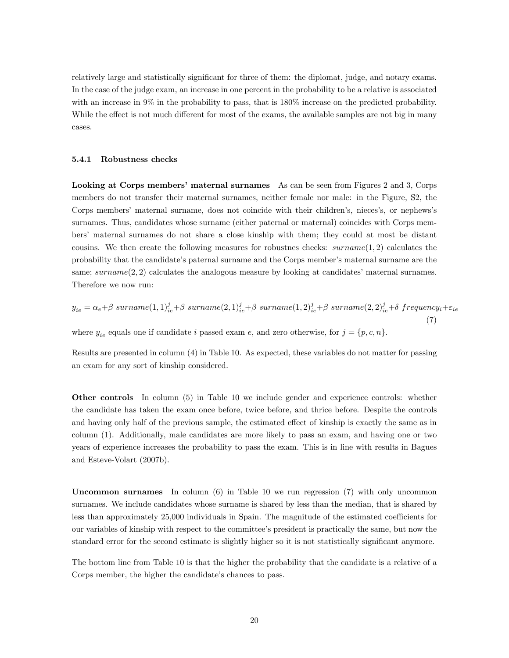relatively large and statistically significant for three of them: the diplomat, judge, and notary exams. In the case of the judge exam, an increase in one percent in the probability to be a relative is associated with an increase in 9% in the probability to pass, that is 180% increase on the predicted probability. While the effect is not much different for most of the exams, the available samples are not big in many cases.

#### 5.4.1 Robustness checks

**Looking at Corps members' maternal surnames** As can be seen from Figures 2 and 3, Corps members do not transfer their maternal surnames, neither female nor male: in the Figure, S2, the Corps members' maternal surname, does not coincide with their children's, nieces's, or nephews's surnames. Thus, candidates whose surname (either paternal or maternal) coincides with Corps membersí maternal surnames do not share a close kinship with them; they could at most be distant cousins. We then create the following measures for robustnes checks:  $\text{surname}(1, 2)$  calculates the probability that the candidate's paternal surname and the Corps member's maternal surname are the same;  $surname(2, 2)$  calculates the analogous measure by looking at candidates' maternal surnames. Therefore we now run:

$$
y_{ie} = \alpha_e + \beta \; surname(1,1)^j_{ie} + \beta \; surname(2,1)^j_{ie} + \beta \; surname(1,2)^j_{ie} + \beta \; surname(2,2)^j_{ie} + \delta \; frequency_i + \varepsilon_{ie}
$$
\n(7)

\nwhere  $y_{ie}$  equals one if candidate  $i$  passed exam  $e$ , and zero otherwise, for  $j = \{p, c, n\}$ .

Results are presented in column (4) in Table 10. As expected, these variables do not matter for passing an exam for any sort of kinship considered.

Other controls In column (5) in Table 10 we include gender and experience controls: whether the candidate has taken the exam once before, twice before, and thrice before. Despite the controls and having only half of the previous sample, the estimated effect of kinship is exactly the same as in column (1). Additionally, male candidates are more likely to pass an exam, and having one or two years of experience increases the probability to pass the exam. This is in line with results in Bagues and Esteve-Volart (2007b).

Uncommon surnames In column (6) in Table 10 we run regression (7) with only uncommon surnames. We include candidates whose surname is shared by less than the median, that is shared by less than approximately 25,000 individuals in Spain. The magnitude of the estimated coefficients for our variables of kinship with respect to the committeeís president is practically the same, but now the standard error for the second estimate is slightly higher so it is not statistically significant anymore.

The bottom line from Table 10 is that the higher the probability that the candidate is a relative of a Corps member, the higher the candidate's chances to pass.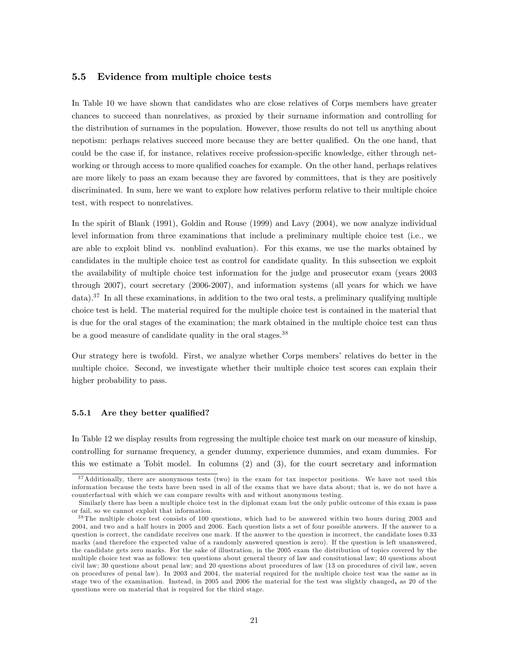#### 5.5 Evidence from multiple choice tests

In Table 10 we have shown that candidates who are close relatives of Corps members have greater chances to succeed than nonrelatives, as proxied by their surname information and controlling for the distribution of surnames in the population. However, those results do not tell us anything about nepotism: perhaps relatives succeed more because they are better qualified. On the one hand, that could be the case if, for instance, relatives receive profession-specific knowledge, either through networking or through access to more qualified coaches for example. On the other hand, perhaps relatives are more likely to pass an exam because they are favored by committees, that is they are positively discriminated. In sum, here we want to explore how relatives perform relative to their multiple choice test, with respect to nonrelatives.

In the spirit of Blank (1991), Goldin and Rouse (1999) and Lavy (2004), we now analyze individual level information from three examinations that include a preliminary multiple choice test (i.e., we are able to exploit blind vs. nonblind evaluation). For this exams, we use the marks obtained by candidates in the multiple choice test as control for candidate quality. In this subsection we exploit the availability of multiple choice test information for the judge and prosecutor exam (years 2003 through 2007), court secretary (2006-2007), and information systems (all years for which we have  $data$ ).<sup>37</sup> In all these examinations, in addition to the two oral tests, a preliminary qualifying multiple choice test is held. The material required for the multiple choice test is contained in the material that is due for the oral stages of the examination; the mark obtained in the multiple choice test can thus be a good measure of candidate quality in the oral stages.<sup>38</sup>

Our strategy here is twofold. First, we analyze whether Corps members' relatives do better in the multiple choice. Second, we investigate whether their multiple choice test scores can explain their higher probability to pass.

#### 5.5.1 Are they better qualified?

In Table 12 we display results from regressing the multiple choice test mark on our measure of kinship, controlling for surname frequency, a gender dummy, experience dummies, and exam dummies. For this we estimate a Tobit model. In columns (2) and (3), for the court secretary and information

<sup>&</sup>lt;sup>37</sup>Additionally, there are anonymous tests (two) in the exam for tax inspector positions. We have not used this information because the tests have been used in all of the exams that we have data about; that is, we do not have a counterfactual with which we can compare results with and without anonymous testing.

Similarly there has been a multiple choice test in the diplomat exam but the only public outcome of this exam is pass or fail, so we cannot exploit that information.

 $38$  The multiple choice test consists of 100 questions, which had to be answered within two hours during 2003 and 2004, and two and a half hours in 2005 and 2006. Each question lists a set of four possible answers. If the answer to a question is correct, the candidate receives one mark. If the answer to the question is incorrect, the candidate loses 0.33 marks (and therefore the expected value of a randomly answered question is zero). If the question is left unanswered, the candidate gets zero marks. For the sake of illustration, in the 2005 exam the distribution of topics covered by the multiple choice test was as follows: ten questions about general theory of law and consitutional law; 40 questions about civil law; 30 questions about penal law; and 20 questions about procedures of law (13 on procedures of civil law, seven on procedures of penal law). In 2003 and 2004, the material required for the multiple choice test was the same as in stage two of the examination. Instead, in 2005 and 2006 the material for the test was slightly changed, as 20 of the questions were on material that is required for the third stage.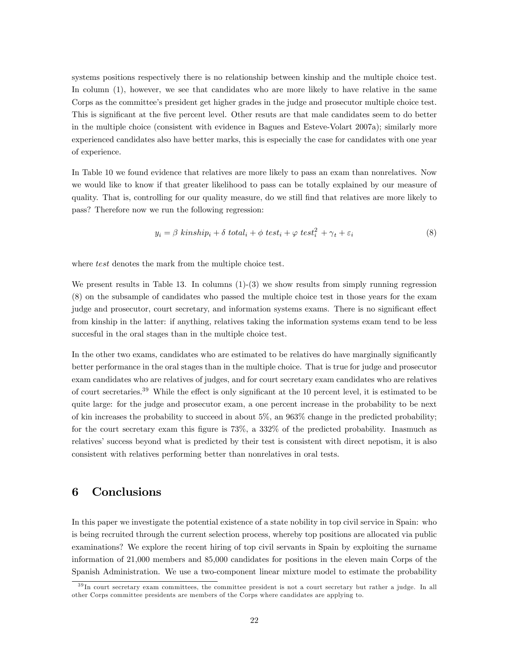systems positions respectively there is no relationship between kinship and the multiple choice test. In column (1), however, we see that candidates who are more likely to have relative in the same Corps as the committee's president get higher grades in the judge and prosecutor multiple choice test. This is significant at the five percent level. Other resuts are that male candidates seem to do better in the multiple choice (consistent with evidence in Bagues and Esteve-Volart 2007a); similarly more experienced candidates also have better marks, this is especially the case for candidates with one year of experience.

In Table 10 we found evidence that relatives are more likely to pass an exam than nonrelatives. Now we would like to know if that greater likelihood to pass can be totally explained by our measure of quality. That is, controlling for our quality measure, do we still find that relatives are more likely to pass? Therefore now we run the following regression:

$$
y_i = \beta \ kinship_i + \delta \ total_i + \phi \ test_i + \varphi \ test_i^2 + \gamma_t + \varepsilon_i \tag{8}
$$

where *test* denotes the mark from the multiple choice test.

We present results in Table 13. In columns  $(1)-(3)$  we show results from simply running regression (8) on the subsample of candidates who passed the multiple choice test in those years for the exam judge and prosecutor, court secretary, and information systems exams. There is no significant effect from kinship in the latter: if anything, relatives taking the information systems exam tend to be less succesful in the oral stages than in the multiple choice test.

In the other two exams, candidates who are estimated to be relatives do have marginally significantly better performance in the oral stages than in the multiple choice. That is true for judge and prosecutor exam candidates who are relatives of judges, and for court secretary exam candidates who are relatives of court secretaries.<sup>39</sup> While the effect is only significant at the 10 percent level, it is estimated to be quite large: for the judge and prosecutor exam, a one percent increase in the probability to be next of kin increases the probability to succeed in about 5%, an 963% change in the predicted probability; for the court secretary exam this figure is  $73\%$ , a  $332\%$  of the predicted probability. Inasmuch as relatives' success beyond what is predicted by their test is consistent with direct nepotism, it is also consistent with relatives performing better than nonrelatives in oral tests.

### 6 Conclusions

In this paper we investigate the potential existence of a state nobility in top civil service in Spain: who is being recruited through the current selection process, whereby top positions are allocated via public examinations? We explore the recent hiring of top civil servants in Spain by exploiting the surname information of 21,000 members and 85,000 candidates for positions in the eleven main Corps of the Spanish Administration. We use a two-component linear mixture model to estimate the probability

<sup>&</sup>lt;sup>39</sup>In court secretary exam committees, the committee president is not a court secretary but rather a judge. In all other Corps committee presidents are members of the Corps where candidates are applying to.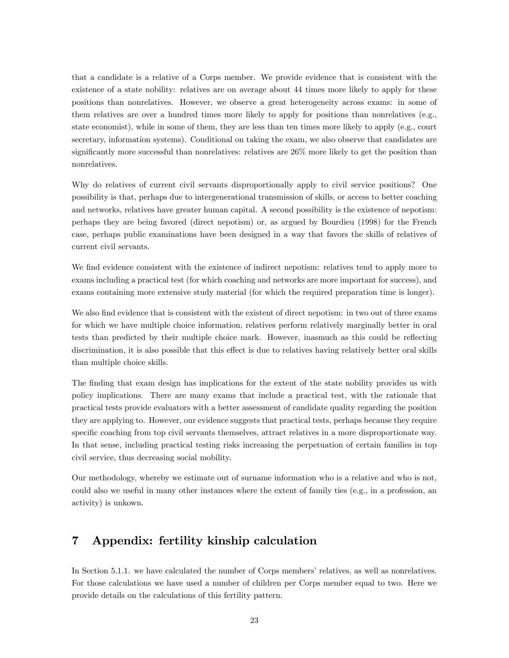that a candidate is a relative of a Corps member. We provide evidence that is consistent with the existence of a state nobility: relatives are on average about 44 times more likely to apply for these positions than nonrelatives. However, we observe a great heterogeneity across exams: in some of them relatives are over a hundred times more likely to apply for positions than nonrelatives (e.g., state economist), while in some of them, they are less than ten times more likely to apply (e.g., court secretary, information systems). Conditional on taking the exam, we also observe that candidates are significantly more successful than nonrelatives: relatives are  $26\%$  more likely to get the position than nonrelatives.

Why do relatives of current civil servants disproportionally apply to civil service positions? One possibility is that, perhaps due to intergenerational transmission of skills, or access to better coaching and networks, relatives have greater human capital. A second possibility is the existence of nepotism: perhaps they are being favored (direct nepotism) or, as argued by Bourdieu (1998) for the French case, perhaps public examinations have been designed in a way that favors the skills of relatives of current civil servants.

We find evidence consistent with the existence of indirect nepotism: relatives tend to apply more to exams including a practical test (for which coaching and networks are more important for success), and exams containing more extensive study material (for which the required preparation time is longer).

We also find evidence that is consistent with the existent of direct nepotism: in two out of three exams for which we have multiple choice information, relatives perform relatively marginally better in oral tests than predicted by their multiple choice mark. However, inasmuch as this could be reflecting discrimination, it is also possible that this effect is due to relatives having relatively better oral skills than multiple choice skills.

The finding that exam design has implications for the extent of the state nobility provides us with policy implications. There are many exams that include a practical test, with the rationale that practical tests provide evaluators with a better assessment of candidate quality regarding the position they are applying to. However, our evidence suggests that practical tests, perhaps because they require specific coaching from top civil servants themselves, attract relatives in a more disproportionate way. In that sense, including practical testing risks increasing the perpetuation of certain families in top civil service, thus decreasing social mobility.

Our methodology, whereby we estimate out of surname information who is a relative and who is not, could also we useful in many other instances where the extent of family ties (e.g., in a profession, an activity) is unkown.

# 7 Appendix: fertility kinship calculation

In Section 5.1.1. we have calculated the number of Corps members' relatives, as well as nonrelatives. For those calculations we have used a number of children per Corps member equal to two. Here we provide details on the calculations of this fertility pattern.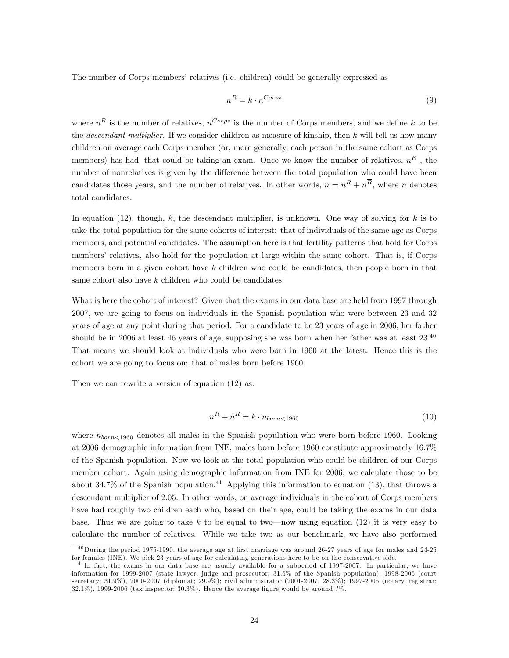The number of Corps members' relatives (i.e. children) could be generally expressed as

$$
n^R = k \cdot n^{Corps} \tag{9}
$$

where  $n^R$  is the number of relatives,  $n^{Corps}$  is the number of Corps members, and we define k to be the *descendant multiplier*. If we consider children as measure of kinship, then  $k$  will tell us how many children on average each Corps member (or, more generally, each person in the same cohort as Corps members) has had, that could be taking an exam. Once we know the number of relatives,  $n<sup>R</sup>$ , the number of nonrelatives is given by the difference between the total population who could have been candidates those years, and the number of relatives. In other words,  $n = n<sup>R</sup> + n<sup>R</sup>$ , where n denotes total candidates.

In equation (12), though, k, the descendant multiplier, is unknown. One way of solving for  $k$  is to take the total population for the same cohorts of interest: that of individuals of the same age as Corps members, and potential candidates. The assumption here is that fertility patterns that hold for Corps membersí relatives, also hold for the population at large within the same cohort. That is, if Corps members born in a given cohort have  $k$  children who could be candidates, then people born in that same cohort also have k children who could be candidates.

What is here the cohort of interest? Given that the exams in our data base are held from 1997 through 2007, we are going to focus on individuals in the Spanish population who were between 23 and 32 years of age at any point during that period. For a candidate to be 23 years of age in 2006, her father should be in 2006 at least 46 years of age, supposing she was born when her father was at least  $23.^{40}$ That means we should look at individuals who were born in 1960 at the latest. Hence this is the cohort we are going to focus on: that of males born before 1960.

Then we can rewrite a version of equation  $(12)$  as:

$$
n^R + n^{\overline{R}} = k \cdot n_{born < 1960} \tag{10}
$$

where  $n_{box \sim 1960}$  denotes all males in the Spanish population who were born before 1960. Looking at 2006 demographic information from INE, males born before 1960 constitute approximately 16.7% of the Spanish population. Now we look at the total population who could be children of our Corps member cohort. Again using demographic information from INE for 2006; we calculate those to be about 34.7% of the Spanish population.<sup>41</sup> Applying this information to equation (13), that throws a descendant multiplier of 2.05. In other words, on average individuals in the cohort of Corps members have had roughly two children each who, based on their age, could be taking the exams in our data base. Thus we are going to take k to be equal to two—now using equation (12) it is very easy to calculate the number of relatives. While we take two as our benchmark, we have also performed

 $^{40}$  During the period 1975-1990, the average age at first marriage was around 26-27 years of age for males and 24-25 for females (INE). We pick 23 years of age for calculating generations here to be on the conservative side.

<sup>&</sup>lt;sup>41</sup>In fact, the exams in our data base are usually available for a subperiod of 1997-2007. In particular, we have information for 1999-2007 (state lawyer, judge and prosecutor; 31.6% of the Spanish population), 1998-2006 (court secretary; 31.9%), 2000-2007 (diplomat; 29.9%); civil administrator (2001-2007, 28.3%); 1997-2005 (notary, registrar;  $32.1\%$ ), 1999-2006 (tax inspector;  $30.3\%$ ). Hence the average figure would be around ?%.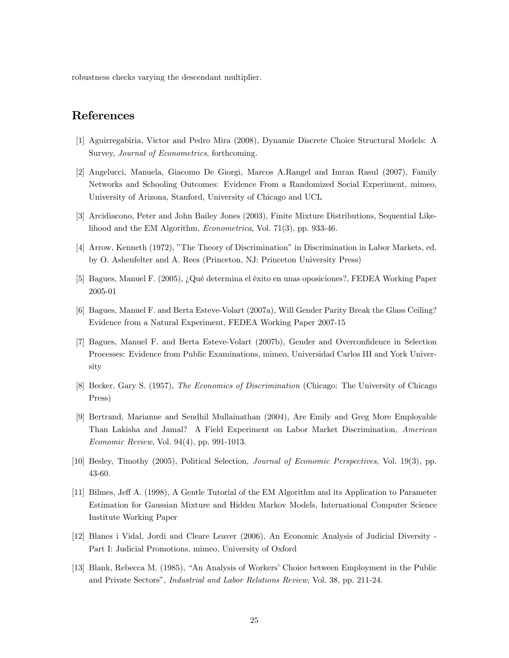robustness checks varying the descendant multiplier.

# References

- [1] Aguirregabiria, Victor and Pedro Mira (2008), Dynamic Discrete Choice Structural Models: A Survey, Journal of Econometrics, forthcoming.
- [2] Angelucci, Manuela, Giacomo De Giorgi, Marcos A.Rangel and Imran Rasul (2007), Family Networks and Schooling Outcomes: Evidence From a Randomized Social Experiment, mimeo, University of Arizona, Stanford, University of Chicago and UCL
- [3] Arcidiacono, Peter and John Bailey Jones (2003), Finite Mixture Distributions, Sequential Likelihood and the EM Algorithm, Econometrica, Vol. 71(3), pp. 933-46.
- [4] Arrow, Kenneth (1972), "The Theory of Discrimination" in Discrimination in Labor Markets, ed. by O. Ashenfelter and A. Rees (Princeton, NJ: Princeton University Press)
- [5] Bagues, Manuel F. (2005), ¿Qué determina el éxito en unas oposiciones?, FEDEA Working Paper 2005-01
- [6] Bagues, Manuel F. and Berta Esteve-Volart (2007a), Will Gender Parity Break the Glass Ceiling? Evidence from a Natural Experiment, FEDEA Working Paper 2007-15
- [7] Bagues, Manuel F. and Berta Esteve-Volart (2007b), Gender and Overconfidence in Selection Processes: Evidence from Public Examinations, mimeo, Universidad Carlos III and York University
- [8] Becker, Gary S. (1957), The Economics of Discrimination (Chicago: The University of Chicago Press)
- [9] Bertrand, Marianne and Sendhil Mullainathan (2004), Are Emily and Greg More Employable Than Lakisha and Jamal? A Field Experiment on Labor Market Discrimination, American Economic Review, Vol. 94(4), pp. 991-1013.
- [10] Besley, Timothy (2005), Political Selection, Journal of Economic Perspectives, Vol. 19(3), pp. 43-60.
- [11] Bilmes, Jeff A. (1998), A Gentle Tutorial of the EM Algorithm and its Application to Parameter Estimation for Gaussian Mixture and Hidden Markov Models, International Computer Science Institute Working Paper
- [12] Blanes i Vidal, Jordi and Cleare Leaver (2006), An Economic Analysis of Judicial Diversity Part I: Judicial Promotions, mimeo, University of Oxford
- [13] Blank, Rebecca M. (1985), "An Analysis of Workers' Choice between Employment in the Public and Private Sectorsî, Industrial and Labor Relations Review, Vol. 38, pp. 211-24.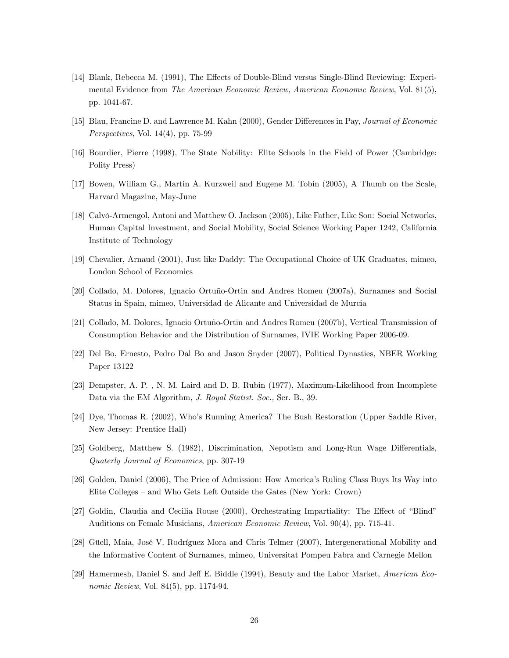- [14] Blank, Rebecca M. (1991), The Effects of Double-Blind versus Single-Blind Reviewing: Experimental Evidence from The American Economic Review, American Economic Review, Vol. 81(5), pp. 1041-67.
- [15] Blau, Francine D. and Lawrence M. Kahn (2000), Gender Differences in Pay, Journal of Economic Perspectives, Vol. 14(4), pp. 75-99
- [16] Bourdier, Pierre (1998), The State Nobility: Elite Schools in the Field of Power (Cambridge: Polity Press)
- [17] Bowen, William G., Martin A. Kurzweil and Eugene M. Tobin (2005), A Thumb on the Scale, Harvard Magazine, May-June
- [18] Calvó-Armengol, Antoni and Matthew O. Jackson (2005), Like Father, Like Son: Social Networks, Human Capital Investment, and Social Mobility, Social Science Working Paper 1242, California Institute of Technology
- [19] Chevalier, Arnaud (2001), Just like Daddy: The Occupational Choice of UK Graduates, mimeo, London School of Economics
- [20] Collado, M. Dolores, Ignacio Ortuño-Ortin and Andres Romeu (2007a), Surnames and Social Status in Spain, mimeo, Universidad de Alicante and Universidad de Murcia
- [21] Collado, M. Dolores, Ignacio Ortuño-Ortin and Andres Romeu (2007b), Vertical Transmission of Consumption Behavior and the Distribution of Surnames, IVIE Working Paper 2006-09.
- [22] Del Bo, Ernesto, Pedro Dal Bo and Jason Snyder (2007), Political Dynasties, NBER Working Paper 13122
- [23] Dempster, A. P. , N. M. Laird and D. B. Rubin (1977), Maximum-Likelihood from Incomplete Data via the EM Algorithm, J. Royal Statist. Soc., Ser. B., 39.
- [24] Dye, Thomas R. (2002), Whoís Running America? The Bush Restoration (Upper Saddle River, New Jersey: Prentice Hall)
- [25] Goldberg, Matthew S. (1982), Discrimination, Nepotism and Long-Run Wage Differentials, Quaterly Journal of Economics, pp. 307-19
- [26] Golden, Daniel (2006), The Price of Admission: How America's Ruling Class Buys Its Way into Elite Colleges – and Who Gets Left Outside the Gates (New York: Crown)
- [27] Goldin, Claudia and Cecilia Rouse (2000), Orchestrating Impartiality: The Effect of "Blind" Auditions on Female Musicians, American Economic Review, Vol. 90(4), pp. 715-41.
- [28] Güell, Maia, José V. Rodríguez Mora and Chris Telmer (2007), Intergenerational Mobility and the Informative Content of Surnames, mimeo, Universitat Pompeu Fabra and Carnegie Mellon
- [29] Hamermesh, Daniel S. and Jeff E. Biddle (1994), Beauty and the Labor Market, American Economic Review, Vol. 84(5), pp. 1174-94.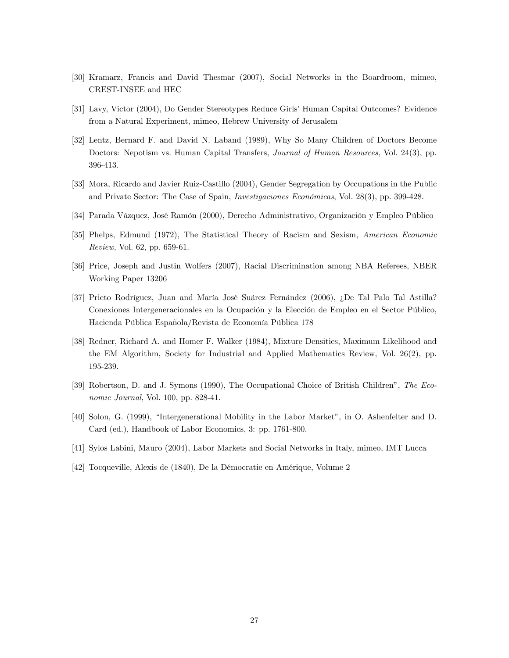- [30] Kramarz, Francis and David Thesmar (2007), Social Networks in the Boardroom, mimeo, CREST-INSEE and HEC
- [31] Lavy, Victor (2004), Do Gender Stereotypes Reduce Girls' Human Capital Outcomes? Evidence from a Natural Experiment, mimeo, Hebrew University of Jerusalem
- [32] Lentz, Bernard F. and David N. Laband (1989), Why So Many Children of Doctors Become Doctors: Nepotism vs. Human Capital Transfers, Journal of Human Resources, Vol. 24(3), pp. 396-413.
- [33] Mora, Ricardo and Javier Ruiz-Castillo (2004), Gender Segregation by Occupations in the Public and Private Sector: The Case of Spain, *Investigaciones Económicas*, Vol. 28(3), pp. 399-428.
- [34] Parada Vázquez, José Ramón (2000), Derecho Administrativo, Organización y Empleo Público
- [35] Phelps, Edmund (1972), The Statistical Theory of Racism and Sexism, American Economic Review, Vol. 62, pp. 659-61.
- [36] Price, Joseph and Justin Wolfers (2007), Racial Discrimination among NBA Referees, NBER Working Paper 13206
- [37] Prieto Rodríguez, Juan and María José Suárez Fernández (2006), ¿De Tal Palo Tal Astilla? Conexiones Intergeneracionales en la Ocupación y la Elección de Empleo en el Sector Público, Hacienda Pública Española/Revista de Economía Pública 178
- [38] Redner, Richard A. and Homer F. Walker (1984), Mixture Densities, Maximum Likelihood and the EM Algorithm, Society for Industrial and Applied Mathematics Review, Vol. 26(2), pp. 195-239.
- [39] Robertson, D. and J. Symons (1990), The Occupational Choice of British Childrenî, The Economic Journal, Vol. 100, pp. 828-41.
- [40] Solon, G. (1999), "Intergenerational Mobility in the Labor Market", in O. Ashenfelter and D. Card (ed.), Handbook of Labor Economics, 3: pp. 1761-800.
- [41] Sylos Labini, Mauro (2004), Labor Markets and Social Networks in Italy, mimeo, IMT Lucca
- [42] Tocqueville, Alexis de (1840), De la Démocratie en Amérique, Volume 2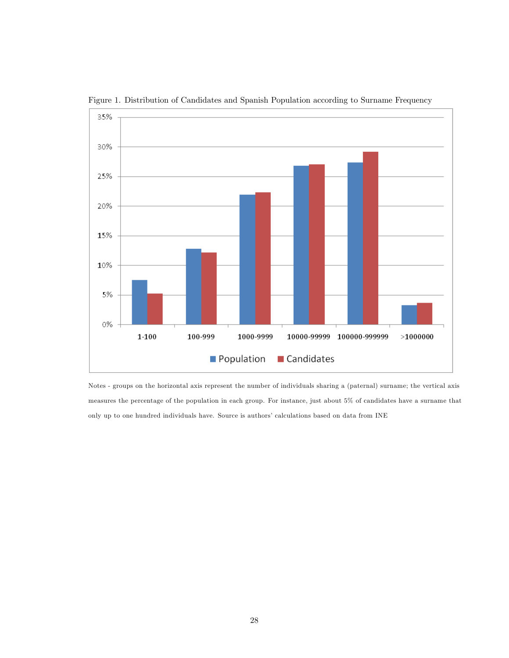

Figure 1. Distribution of Candidates and Spanish Population according to Surname Frequency

Notes - groups on the horizontal axis represent the number of individuals sharing a (paternal) surname; the vertical axis measures the percentage of the population in each group. For instance, just about 5% of candidates have a surname that only up to one hundred individuals have. Source is authors' calculations based on data from INE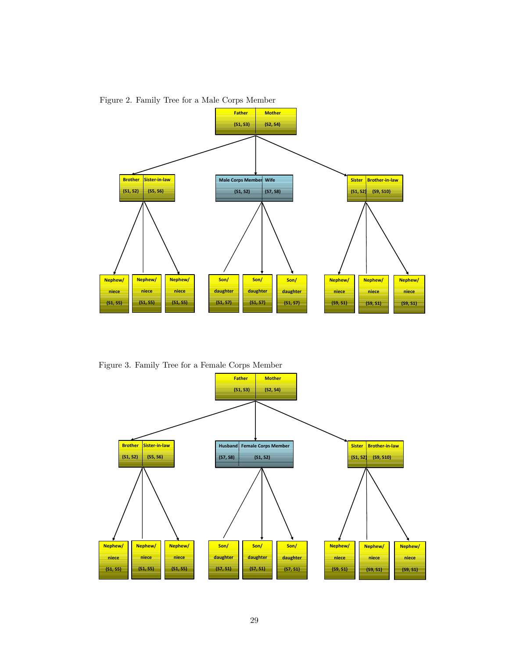

Figure 2. Family Tree for a Male Corps Member

Figure 3. Family Tree for a Female Corps Member

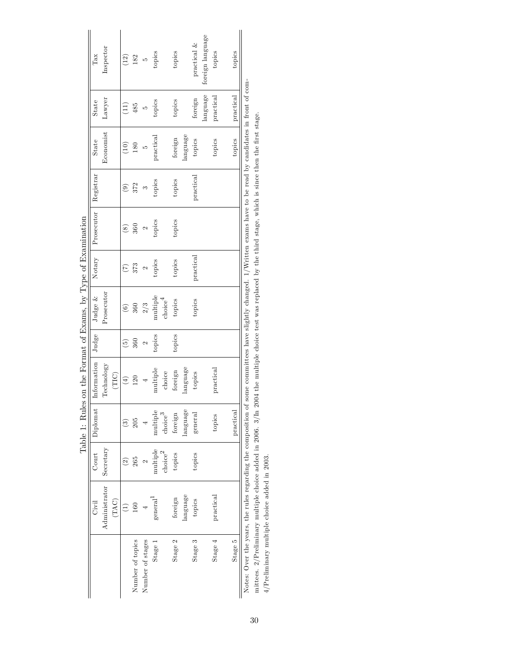|                                                                                                                                                                              |                            |                    |                     |             |                            |                        | ך<br>י             |                    |               |                                                    |           |                  |
|------------------------------------------------------------------------------------------------------------------------------------------------------------------------------|----------------------------|--------------------|---------------------|-------------|----------------------------|------------------------|--------------------|--------------------|---------------|----------------------------------------------------|-----------|------------------|
|                                                                                                                                                                              | Civil                      | Count              | Diplomat            | Information | Judge                      | Judge $&$              | Notary             | Prosecutor         | Registrar     | State                                              | State     | Tax              |
|                                                                                                                                                                              | Administrator              | Secretary          |                     | Technology  |                            | Prosecutor             |                    |                    |               | Economist                                          | Lawyer    | Inspector        |
|                                                                                                                                                                              | (TAC)                      |                    |                     | (TIC)       |                            |                        |                    |                    |               |                                                    |           |                  |
|                                                                                                                                                                              |                            | $\widehat{\Omega}$ | වි                  | $\bigoplus$ | $\widetilde{\mathfrak{G}}$ | $\widehat{\mathbf{c}}$ | E                  | $\infty$           | $\widehat{e}$ | $\left( \begin{matrix} 0 \ 1 \end{matrix} \right)$ | Ξ         | (12)             |
| Number of topics                                                                                                                                                             | 160                        | 265                | 205                 | 120         | 360                        | 360                    | 373                | 360                | 372           | 180                                                | 485       | 182              |
| Number of stages                                                                                                                                                             |                            |                    |                     |             | $\mathbf{\hat{c}}$         | 2/3                    | $\mathbf{\hat{c}}$ | $\mathbf{\hat{c}}$ | S             | r.                                                 | S         | LO               |
| Stage 1                                                                                                                                                                      | $\rm general$ <sup>1</sup> | multiple           | multiple            | multiple    | topics                     | multiple               | topics             | topics             | topics        | practical                                          | topics    | topics           |
|                                                                                                                                                                              |                            | ${\rm choice}^2$   | choice <sup>3</sup> | choice      |                            | choice <sup>4</sup>    |                    |                    |               |                                                    |           |                  |
| Stage 2                                                                                                                                                                      | foreign                    | topics             | foreign             | foreign     | topics                     | topics                 | topics             | topics             | topics        | foreign                                            | topics    | topics           |
|                                                                                                                                                                              | language                   |                    | language            | language    |                            |                        |                    |                    |               | language                                           |           |                  |
| Stage 3                                                                                                                                                                      | topics                     | topics             | general             | topics      |                            | topics                 | practical          |                    | practical     | topics                                             | foreign   | practical $\&$   |
|                                                                                                                                                                              |                            |                    |                     |             |                            |                        |                    |                    |               |                                                    | language  | foreign language |
| Stage 4                                                                                                                                                                      | practical                  |                    | topics              | practical   |                            |                        |                    |                    |               | topics                                             | practical | topics           |
|                                                                                                                                                                              |                            |                    |                     |             |                            |                        |                    |                    |               |                                                    |           |                  |
| Stage 5                                                                                                                                                                      |                            |                    | practical           |             |                            |                        |                    |                    |               | topics                                             | practical | topics           |
| Notes: Over the years, the rules regarding the composition of some committees have slightly changed. $1/\text{Written}$ exams have to be read by candidates in front of com- |                            |                    |                     |             |                            |                        |                    |                    |               |                                                    |           |                  |
| mittees. 2/Preliminary multiple choice added in 2006. $3/\ln 2004$ the multiple choice test was replaced by the third stage, which is since then the first stage.            |                            |                    |                     |             |                            |                        |                    |                    |               |                                                    |           |                  |
| $4/$ Preliminary multiple choice added in 2003.                                                                                                                              |                            |                    |                     |             |                            |                        |                    |                    |               |                                                    |           |                  |

Table 1: Rules on the Format of Exams, by Type of Examination Table 1: Rules on the Format of Exams, by Type of Examination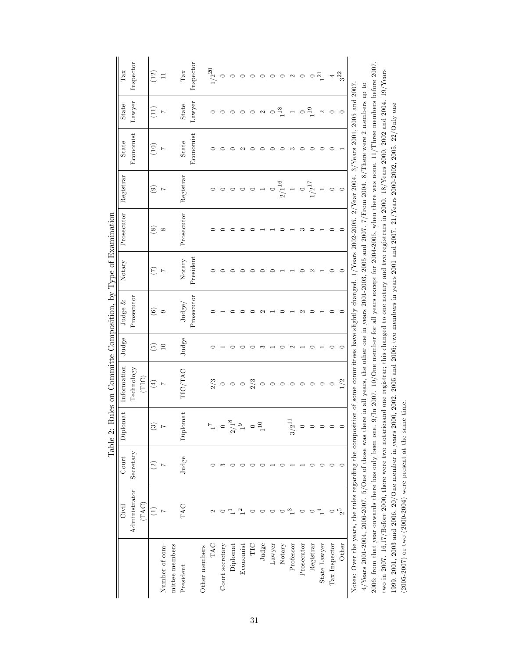|                 | Civil                                                                                                                                                              | Count          | Diplomat                          | Information                                                                                                         | Judge           | Judge $&$                | Notary         | Prosecutor    | Registrar     | State             | State         | Tax                 |
|-----------------|--------------------------------------------------------------------------------------------------------------------------------------------------------------------|----------------|-----------------------------------|---------------------------------------------------------------------------------------------------------------------|-----------------|--------------------------|----------------|---------------|---------------|-------------------|---------------|---------------------|
|                 | Administrator                                                                                                                                                      | Secretary      |                                   | Technology                                                                                                          |                 | Prosecutor               |                |               |               | Economist         | Lawyer        | Inspector           |
|                 | (TAG)                                                                                                                                                              |                |                                   | (TIC)                                                                                                               |                 |                          |                |               |               |                   |               |                     |
|                 | Ξ                                                                                                                                                                  | $\widehat{c}$  | $\widehat{\mathbf{G}}$            | $\bigoplus$                                                                                                         | $\widetilde{5}$ | $\widehat{\mathfrak{s}}$ | E              | $\circledast$ | $\widehat{e}$ | (10)              | $\Xi$         | $\left(12\right)$   |
| Number of com-  |                                                                                                                                                                    | $\overline{ }$ | $\overline{1}$                    | $\overline{ }$                                                                                                      | 10              | $\circ$                  | $\overline{ }$ | $\infty$      | Ŋ             |                   |               |                     |
| mittee members  |                                                                                                                                                                    |                |                                   |                                                                                                                     |                 |                          |                |               |               |                   |               |                     |
| President       | <b>TAC</b>                                                                                                                                                         | Judge          | Diplomat                          | TIC/TAC                                                                                                             | Judge           | Judge/                   | Notary         | Prosecutor    | Registrar     | State             | ${\bf State}$ | $\mathrm{Tax}$      |
|                 |                                                                                                                                                                    |                |                                   |                                                                                                                     |                 | Prosecutor               | President      |               |               | Economist         | Lawyer        | Inspector           |
| Other members   |                                                                                                                                                                    |                |                                   |                                                                                                                     |                 |                          |                |               |               |                   |               |                     |
| <b>TAC</b>      | 2                                                                                                                                                                  |                | $\overline{r}$                    |                                                                                                                     |                 |                          |                |               |               |                   |               | $1/2^{\mathrm{20}}$ |
| Court secretary |                                                                                                                                                                    | S              | $\circ$                           | $2^{3}$                                                                                                             |                 |                          |                | ⊂             |               |                   |               | $\circ$             |
| Diplomat        |                                                                                                                                                                    |                | $^{\circ}$<br>2/1                 | $\circ$                                                                                                             |                 |                          |                |               |               |                   |               |                     |
| Economist       |                                                                                                                                                                    |                |                                   | $\circ$                                                                                                             |                 |                          |                |               |               | $\mathbf{\Omega}$ |               |                     |
| TIC             |                                                                                                                                                                    |                | $\overset{\circ}{\phantom{a}}$ 10 | 2/3                                                                                                                 |                 |                          |                |               | $\circ$       |                   |               |                     |
| Judge           |                                                                                                                                                                    |                |                                   | $\circ$                                                                                                             | ∽               |                          |                |               |               |                   |               |                     |
| Lawyer          |                                                                                                                                                                    |                |                                   | $\circ$                                                                                                             |                 |                          |                |               |               |                   |               |                     |
| Notary          |                                                                                                                                                                    |                |                                   | $\circ$                                                                                                             |                 |                          |                |               | $2/1^{16}$    |                   | $^{18}$       |                     |
| Professor       | ∾                                                                                                                                                                  |                | $3/2^{11}$                        | $\circ$                                                                                                             | $\mathfrak{g}$  |                          |                |               |               | ಌ                 |               | $\mathbf{\Omega}$   |
| Prosecutor      |                                                                                                                                                                    |                |                                   | $\circ$                                                                                                             |                 |                          |                | ∞             | $\circ$       |                   |               |                     |
| Registrar       |                                                                                                                                                                    |                | $\circ$                           | $\circ$                                                                                                             |                 |                          |                |               | $1/2^{17}$    |                   | $^{19}$       |                     |
| State Lawyer    |                                                                                                                                                                    |                | $\circ$                           | $\circ$                                                                                                             |                 |                          |                |               |               |                   | Z             | $\overline{21}$     |
| Tax Inspector   |                                                                                                                                                                    |                |                                   | $\circ$                                                                                                             |                 |                          |                |               |               |                   |               |                     |
| Other           | $2^5$                                                                                                                                                              | ∊              |                                   | 1/2                                                                                                                 |                 |                          |                |               | $\circ$       |                   |               | 3 <sup>22</sup>     |
|                 | Notes: Over the years, the rules regarding the composition of some committees have slightly changed. 1/Years 2002-2005. 2/Year 2004. 3/Years 2005 and 2007         |                |                                   |                                                                                                                     |                 |                          |                |               |               |                   |               |                     |
|                 | $4$ /Years 2001-2004, 2006-2007. 5/One of those was there in all years, the other one in years 2001-2003, 2005 and 2007. 7/From 2004. 8/There were 2 members up to |                |                                   |                                                                                                                     |                 |                          |                |               |               |                   |               |                     |
|                 | 2006; from that year onwards there has only been one.                                                                                                              |                |                                   | $9/\ln 2007$ . 10/One member for all years except for 2004-2005, when there was none. 11/Three members before 2007. |                 |                          |                |               |               |                   |               |                     |

two in 2007. 16,17/Before 2000, there were two notariesand one registrar; this changed to one notary and two registrars in 2000. 18/Years 2000, 2002 and 2004. 19/Years

two in 2007. 16,17/Before 2000, there were two notaries and one registrar; this changed to one notary and two registrars in 2000. 18/Years 2000, 2002 and 2004. 19/Years

1999, 2001, 2003 and 2006. 20/One member in years 2000, 2002, 2005 and 2006; two members in years 2001 and 2007. 21/Years 2000-2002, 2005. 22/Only one

1999, 2001, 2003 and 2006. 20/One member in years 2000, 2002, 2005 and 2006; two members in years 2001 and 2007. 21/Years 2000-2002, 2005. 22/Only one

(2005-2007) or two (2000-2004) were present at the same time.

(2005-2007) or two (2000-2004) were present at the same time.

Table 2: Rules on Committe Composition, by Type of Examination Table 2: Rules on Committe Composition, by Type of Examination

31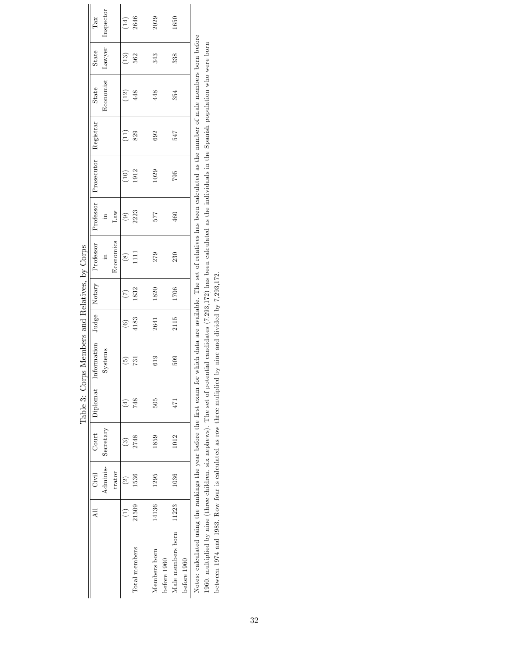|       |               |           |     | Table 3: Corps Members and Relatives, by Corps                                                                                                                                       |                          |                |                           |                        |            |           |              |              |                |
|-------|---------------|-----------|-----|--------------------------------------------------------------------------------------------------------------------------------------------------------------------------------------|--------------------------|----------------|---------------------------|------------------------|------------|-----------|--------------|--------------|----------------|
| All   | Civil         | Court     |     | Diplomat   Information                                                                                                                                                               |                          | Judge   Notary | Professor   Professor     |                        | Prosecutor | Registrar | <b>State</b> | <b>State</b> | Tax            |
|       | Adminis-      | Secretary |     | Systems                                                                                                                                                                              |                          |                | Ħ.                        | 크.                     |            |           | Economist    | Lawyer       | Inspector      |
|       | trator        |           |     |                                                                                                                                                                                      |                          |                | Economics                 | Ĺаw                    |            |           |              |              |                |
|       | $\widehat{2}$ | ಣ         | €   | $\begin{pmatrix} 5 \end{pmatrix}$                                                                                                                                                    | $\widehat{\mathfrak{S}}$ | E              | $\widetilde{\mathcal{S}}$ | $\widehat{\mathbf{e}}$ | $\Xi$      | Ħ,        | (12)         | $\Xi$        | $(14)$<br>2646 |
| 21509 | 536           | 2748      | 748 | 731                                                                                                                                                                                  | 4183                     | 1832           | $\Xi$                     | 2223                   | 1912       | 829       | 448          | 562          |                |
|       | 1295<br>14136 | 1859      | 505 | 619                                                                                                                                                                                  | 2641                     | 1820           | 279                       | 577                    | 1029       | 692       | 448          | 343          | 2029           |
|       | 1036<br>11223 | 1012      | 471 | 509                                                                                                                                                                                  | 2115                     | 1706           | 230                       | 460                    | 795        | 547       | 354          | 338          | 1650           |
|       |               |           |     | Notes: calculated using the rankings the vear before the first exam for which data are available. The set of relatives has been calculated as the number of male members born before |                          |                |                           |                        |            |           |              |              |                |

Notes: calculated using the rankings the year before the Örst exam for which data are available. The set of relatives has been calculated as the number of male members born before Avoes: сакинамен using the rankings the year before the irst exam for which that are avanable. The set of relatives has been catculated as the fullmer of mate members born performance in 1960, multiplied by nine (three chi 1960, multiplied by nine (three children, six nephews). The set of potential candidates (7,293,172) has been calculated as the individuals in the Spanish population who were born between 1974 and 1983. Row four is calculated as row three muliplied by nine and divided by 7,293,172.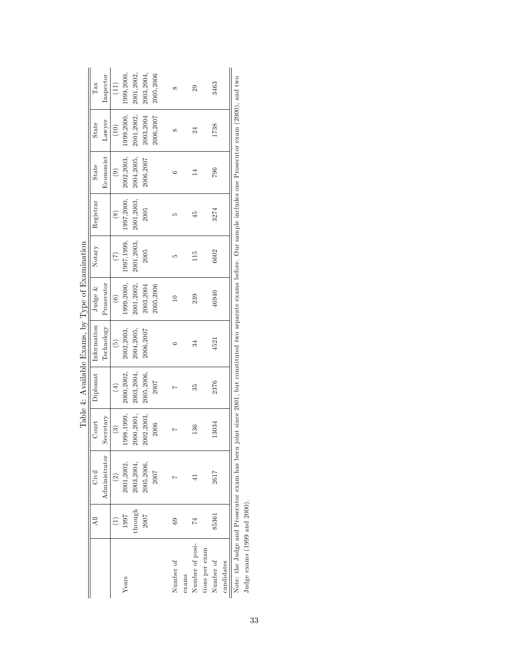|                                                  | Tax<br>State<br>State | Inspector<br>Lawyer<br>Economist | $(11)$<br>(10)<br>$(9)$ | 1999, 2000,<br>1999,2000,<br>2002, 2003, | 2001,2002,<br>2001,2002,<br>2004,2005, | 2003, 2004,<br>2003,2004<br>2006,2007 | 2005,2006<br>2006,2007 | $^{\circ}$<br>$^{\infty}$ |       | 29<br>24<br>14  |                | 3463<br>1738<br>796 |            | $\lambda$ |
|--------------------------------------------------|-----------------------|----------------------------------|-------------------------|------------------------------------------|----------------------------------------|---------------------------------------|------------------------|---------------------------|-------|-----------------|----------------|---------------------|------------|-----------|
|                                                  | Registrar             |                                  | $\circledast$           | 1997,2000,                               | 2001, 2003,                            | 2005                                  |                        | S                         |       | $\frac{5}{4}$   |                | 3274                |            |           |
|                                                  | Notary                |                                  | $\widetilde{C}$         | 1997, 1999,                              | 2001, 2003,                            | 2005                                  |                        | S                         |       | 15              |                | 6602                |            |           |
|                                                  | Judge $&$             | Prosecutor                       | $(6)$                   | 1999,2000,                               | 2001,2002,                             | 2003,2004                             | 2005,2006              | $\approx$                 |       | 239             |                | 46940               |            |           |
|                                                  | Information           | Technology                       | $\left( 5\right)$       | 2002,2003,                               | 2004, 2005,                            | 2006,2007                             |                        | ం                         |       | 34              |                | 4521                |            |           |
| Table 4: Available Exams, by Type of Examination | Diplomat              |                                  | $(4)$                   | 2000, 2002,                              | 2003, 2004,                            | 2005,2006,                            | 2007                   | r                         |       | 35              |                | 2376                |            | i         |
|                                                  | <b>Court</b>          | Secretary                        | $\binom{3}{2}$          | 1998, 1999,                              | 2000, 2001,                            | 2002, 2003,                           | 2006                   |                           |       | 136             |                | 13034               |            |           |
|                                                  | Civil                 | Administrator                    | $\circled{2}$           | 2001, 2002,                              | 2003, 2004,                            | 2005, 2006,                           | 2007                   |                           |       |                 |                | 2617                |            |           |
|                                                  |                       |                                  | $\widehat{\Xi}$         | 1997                                     | through                                | 2007                                  |                        | $^{69}$                   |       | $\overline{74}$ |                | 85361               |            |           |
|                                                  |                       |                                  |                         | Years                                    |                                        |                                       |                        | Number of                 | exams | Number of posi- | tions per exam | Number of           | candidates |           |

| $\frac{1}{2}$<br>$-10$ and $-10$ |  |
|----------------------------------|--|
| ļ                                |  |
| Ĭ<br>.<br>.<br>.<br>ŀ            |  |
| $\frac{1}{2}$                    |  |
| c<br>C<br>C<br>C<br>C<br>ļ       |  |
| $\frac{1}{2}$                    |  |
| i                                |  |
|                                  |  |

Note: the Judge and Prosecutor exam has been joint since 2001, but constituted two separate exams before. Our sample includes one Prosecutor exam (2000), and two<br>Judge exams (1999 and 2000). Note: the Judge and Prosecutor exam has been joint since 2001, but constituted two separate exams before. Our sample includes one Prosecutor exam (2000), and two Judge exams (1999 and 2000).

33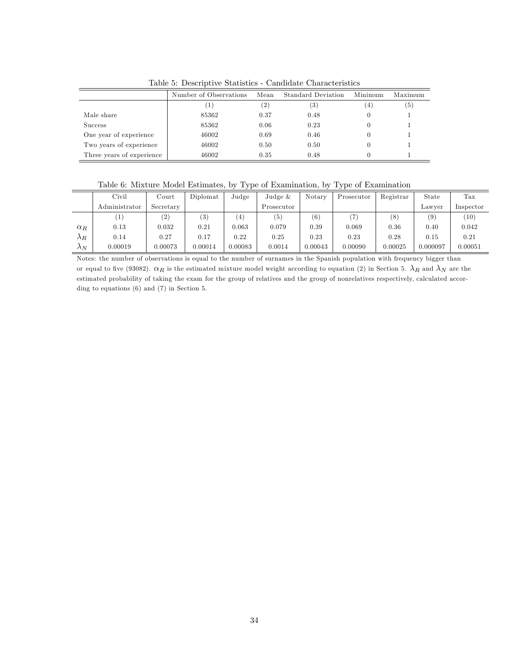|                           | Number of Observations | Mean              | Standard Deviation | Minimum | Maximum           |
|---------------------------|------------------------|-------------------|--------------------|---------|-------------------|
|                           |                        | $\left( 2\right)$ | $\left( 3\right)$  |         | $\left( 5\right)$ |
| Male share                | 85362                  | 0.37              | 0.48               |         |                   |
| <b>Success</b>            | 85362                  | 0.06              | 0.23               |         |                   |
| One year of experience    | 46002                  | 0.69              | 0.46               |         |                   |
| Two years of experience   | 46002                  | 0.50              | 0.50               |         |                   |
| Three years of experience | 46002                  | 0.35              | 0.48               |         |                   |

Table 5: Descriptive Statistics - Candidate Characteristics

| Table 6: Mixture Model Estimates, by Type of Examination, by Type of Examination |  |  |  |  |
|----------------------------------------------------------------------------------|--|--|--|--|
|----------------------------------------------------------------------------------|--|--|--|--|

|             | Civil         | $_{\rm Court}$ | Diplomat | Judge      | Judge $\&$ | Notary  | Prosecutor    | Registrar | State    | $_{\rm Tax}$ |
|-------------|---------------|----------------|----------|------------|------------|---------|---------------|-----------|----------|--------------|
|             | Administrator | Secretary      |          |            | Prosecutor |         |               |           | Lawver   | Inspector    |
|             | T,            | (2)            | (3)      | 4)         | (5)        | (6)     | $\rightarrow$ | (8)       | (9)      | (10)         |
| $\alpha_R$  | 0.13          | 0.032          | 0.21     | $_{0.063}$ | 0.079      | 0.39    | 0.069         | $0.36\,$  | 0.40     | 0.042        |
| $\lambda_R$ | 0.14          | 0.27           | 0.17     | 0.22       | 0.25       | 0.23    | 0.23          | 0.28      | 0.15     | 0.21         |
| $\Lambda_N$ | 0.00019       | 0.00073        | 0.00014  | 0.00083    | 0.0014     | 0.00043 | 0.00090       | 0.00025   | 0.000097 | 0.00051      |

Notes: the number of observations is equal to the number of surnames in the Spanish population with frequency bigger than or equal to five (93082).  $\alpha_R$  is the estimated mixture model weight according to equation (2) in Section 5.  $\lambda_R$  and  $\lambda_N$  are the estimated probability of taking the exam for the group of relatives and the group of nonrelatives respectively, calculated according to equations (6) and (7) in Section 5.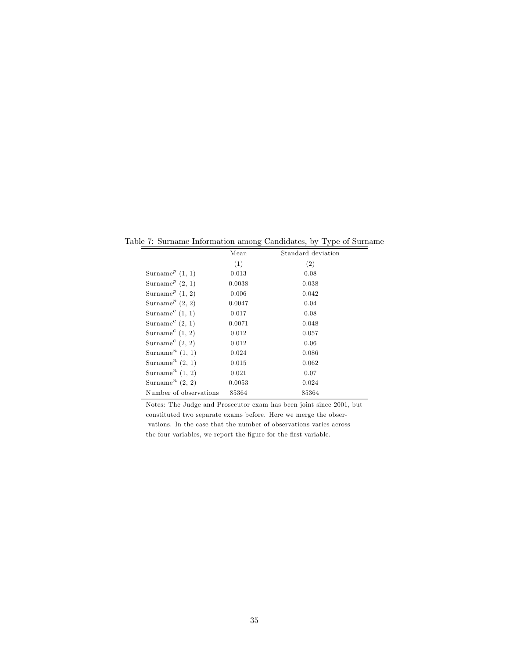Table 7: Surname Information among Candidates, by Type of Surname

|                                            |        | $\sim$ $\sim$      |
|--------------------------------------------|--------|--------------------|
|                                            | Mean   | Standard deviation |
|                                            | (1)    | (2)                |
| Surname <sup><math>p</math></sup> (1, 1)   | 0.013  | 0.08               |
| Surname <sup><math>p</math></sup> (2, 1)   | 0.0038 | 0.038              |
| Surname <sup><math>p</math></sup> (1, 2)   | 0.006  | 0.042              |
| Surname <sup><math>p</math></sup> (2, 2)   | 0.0047 | 0.04               |
| Surname <sup><math>c</math></sup> (1, 1)   | 0.017  | 0.08               |
| Surname <sup><math>c</math></sup> (2, 1)   | 0.0071 | 0.048              |
| Surname <sup><math>c</math></sup> (1, 2)   | 0.012  | 0.057              |
| Surname <sup><math>c</math></sup> (2, 2)   | 0.012  | 0.06               |
| Surname <sup><math>n</math></sup> $(1, 1)$ | 0.024  | 0.086              |
| Surname <sup>n</sup> $(2, 1)$              | 0.015  | 0.062              |
| Surname <sup><math>n</math></sup> (1, 2)   | 0.021  | 0.07               |
| Surname <sup><math>n</math></sup> (2, 2)   | 0.0053 | 0.024              |
| Number of observations                     | 85364  | 85364              |

Notes: The Judge and Prosecutor exam has been joint since 2001, but constituted two separate exams before. Here we merge the observations. In the case that the number of observations varies across the four variables, we report the figure for the first variable.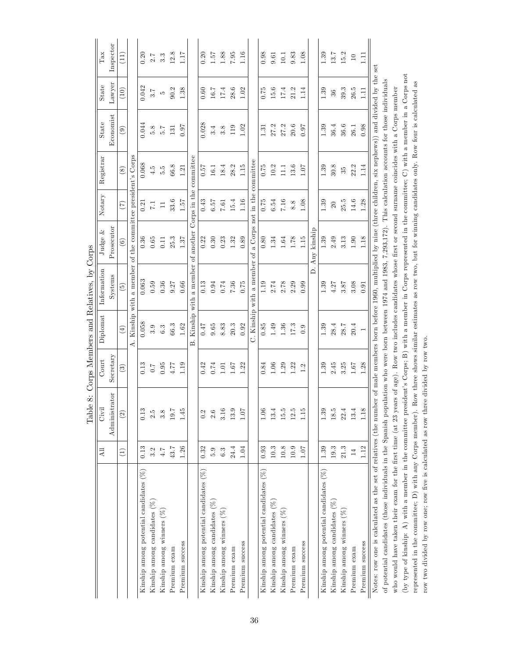|                                                                                                                                                                         |                 |                       |                        |                   | Table 8: Corps Members and Relatives, by Corps                                                             |                       |                              |                        |                   |        |                  |
|-------------------------------------------------------------------------------------------------------------------------------------------------------------------------|-----------------|-----------------------|------------------------|-------------------|------------------------------------------------------------------------------------------------------------|-----------------------|------------------------------|------------------------|-------------------|--------|------------------|
|                                                                                                                                                                         | Αl              | Civil                 | Court                  | Diplomat          | Information                                                                                                | 2<br>Judge            | Notary                       | Registrar              | State             | State  | Tax              |
|                                                                                                                                                                         |                 | Administrator         | Secretary              |                   | Systems                                                                                                    | Prosecutor            |                              |                        | Economist         | Lawyer | Inspector        |
|                                                                                                                                                                         | $\widehat{\Xi}$ | $\widetilde{S}$       | $\widehat{\mathbb{E}}$ | $\left( 4\right)$ | $\widetilde{5}$                                                                                            | $\widehat{6}$         | (7)                          | $\circled{s}$          | $\widehat{e}$     | (10)   | (11)             |
|                                                                                                                                                                         |                 |                       |                        | 4.                | Kinship with a member of the committee president's Corps                                                   |                       |                              |                        |                   |        |                  |
| Kinship among potential candidates $(\%)$                                                                                                                               | 0.13            | S<br>$\overline{0}$ . | 0.13                   | 0.058             | 0.063                                                                                                      | 0.36                  | 0.21                         | 0.068                  | 0.044             | 0.042  | 0.20             |
| Kinship among candidates $(\%)$                                                                                                                                         | 3.2             | 2.5                   | $0.7\,$                | 3.9               | 0.59                                                                                                       | 0.65                  | $\overline{11}$              | 4.5                    | 5.8               | 3.7    | 2.7              |
| Kinship among winners $(%$                                                                                                                                              | $4.7$           | 3.8                   | 0.95                   | $6.3\,$           | 0.36                                                                                                       | 0.11                  | $\Box$                       | 5.5                    | $\overline{5}$ .7 | LO.    | $3.\overline{3}$ |
| Premium exam                                                                                                                                                            | 43.7            | $\frac{1}{2}$         | 4.77                   | 66.3              | 9.27                                                                                                       | 25.3                  | 33.6                         | 66.8                   | 131               | 90.2   | 12.8             |
| Premium success                                                                                                                                                         | 1.26            | 1.45                  | 1.19                   | 1.62              | 0.66                                                                                                       | 1.37                  | 1.57                         | 1.21                   | 0.07              | 1.38   | 71.17            |
|                                                                                                                                                                         |                 |                       |                        | Kinship<br>Ä      | a member<br>with                                                                                           | another<br>$\sigma$ f |                              | Corps in the committee |                   |        |                  |
| Kinship among potential candidates $(\%)$                                                                                                                               | 0.32            | 0.2                   | 0.42                   | 7F0               | 0.13                                                                                                       | 0.22                  | 0.43                         | 0.57                   | 0.028             | 0.60   | 0.20             |
| Kinship among candidates $(\%)$                                                                                                                                         | 5.9             | 2.6                   | 0.74                   | $\,0.65$          | 0.94                                                                                                       | 0.30                  | 6. <sub>57</sub>             | 16.1                   | 3.4               | 16.7   | 1.57             |
| Kinship among winners $(%$                                                                                                                                              | 6.3             | 3.16                  | 1.01                   | 8.83              | 0.74                                                                                                       | 0.23                  | 7.61                         | 18.4                   | 3.8               | 17.4   | 1.88             |
| Premium exam                                                                                                                                                            | 24.4            | 13.                   | 1.67                   | $20.3\,$          | 7.36                                                                                                       | 1.32                  | 15.4                         | 28.2                   | 119               | 28.6   | $7.95\,$         |
| Premium success                                                                                                                                                         | 1.04            | 1.07                  | 1.22                   | 0.92              | 0.75                                                                                                       | 0.89                  | 1.16                         | 1.15                   | 1.02              | 1.02   | 1.16             |
|                                                                                                                                                                         |                 |                       |                        |                   | C. Kinship with a member of                                                                                |                       | a Corps not in the committee |                        |                   |        |                  |
| Kinship among potential candidates $(\%)$                                                                                                                               | 0.93            | $1.06\,$              | 0.84                   | 0.85              | 1.19                                                                                                       | 0.80                  | 0.75                         | 0.75                   | 1.31              | 0.75   | 0.98             |
| Kinship among candidates $(\%)$                                                                                                                                         | $10.3\,$        | 13.4                  | 1.06                   | 1.49              | $2.74\,$                                                                                                   | 1.34                  | 6.54                         | 10.2                   | 27.2              | 15.6   | 9.61             |
| Kinship among winners $(\%$                                                                                                                                             | $10.8\,$        | $\frac{15}{10}$       | 1.29                   | 1.36              | 2.78                                                                                                       | 1.64                  | 7.16                         | $\frac{1}{111}$        | 27.2              | 17.4   | 10.1             |
| Premium exam                                                                                                                                                            | $10.9\,$        | 12.                   | 1.22                   | 17.3              | 2.29                                                                                                       | 1.78                  | 8.8                          | 13.6                   | 20.6              | 21.2   | 9.83             |
| Premium success                                                                                                                                                         | 1.07            | $\Box$                | 1.2                    | 0.9               | 0.99                                                                                                       | 1.15                  | 1.08                         | 1.07                   | 0.07              | 1.14   | 1.08             |
|                                                                                                                                                                         |                 |                       |                        |                   | ≏                                                                                                          | kinship<br>Any        |                              |                        |                   |        |                  |
| Kinship among potential candidates $(\%)$                                                                                                                               | 1.39            | 1.39                  | 1.39                   | 1.39              | 1.39                                                                                                       | 1.39                  | 1.39                         | 1.39                   | 1.39              | 1.39   | 1.39             |
| Kinship among candidates $(\%)$                                                                                                                                         | 19.3            | 18.                   | 2.45                   | 28.4              | 4.27                                                                                                       | 2.49                  | 20                           | 30.8                   | 36.4              | 36     | 13.7             |
| Kinship among winners (%                                                                                                                                                | $21.3$          | 22.4                  | 3.25                   | 28.7              | 3.87                                                                                                       | 3.13                  | $25.5$                       | $35^{\circ}$           | 36.6              | 39.3   | 15.2             |
| Premium exam                                                                                                                                                            | $14$            | $\frac{3}{2}$         | 1.67                   | 20.4              | 3.08                                                                                                       | 1.90                  | 14.6                         | 22.2                   | 26.1              | 26.5   | $10\,$           |
| Premium success                                                                                                                                                         | 1.12            | $\Box$                | 1.28                   | $\overline{ }$    | 0.91                                                                                                       | 1.18                  | 1.28                         | 1.14                   | 0.98              | $\Xi$  | $\Xi$            |
| Notes: row one is calculated as the set of relatives (the number of male members born before 1960, multiplied by nine (three children, six nephews)) and divided by the |                 |                       |                        |                   |                                                                                                            |                       |                              |                        |                   |        | set              |
| of potential candidates (those individuals in the Spanish population who were born between 1974 and 1983, 7,293,172). This calculation accounts for those individuals   |                 |                       |                        |                   |                                                                                                            |                       |                              |                        |                   |        |                  |
| who would have taken their exam for the first time (at 23 years of age). Row two includes candidates whose first or second surname coincides with a Corps member        |                 |                       |                        |                   |                                                                                                            |                       |                              |                        |                   |        |                  |
| (by type of kinship: A) with a member in the committee president's Corps; B) with a member in Corps represented in the committee; C) with a member in a Corps not       |                 |                       |                        |                   |                                                                                                            |                       |                              |                        |                   |        |                  |
| represented in the committee; $D)$ with any Corps member)                                                                                                               |                 |                       |                        |                   | . Row three shows similar estimates as row two, but for winning candidates only. Row four is calculated as |                       |                              |                        |                   |        |                  |
| row two divided by row one; row five is calculated as row three divided by row two.                                                                                     |                 |                       |                        |                   |                                                                                                            |                       |                              |                        |                   |        |                  |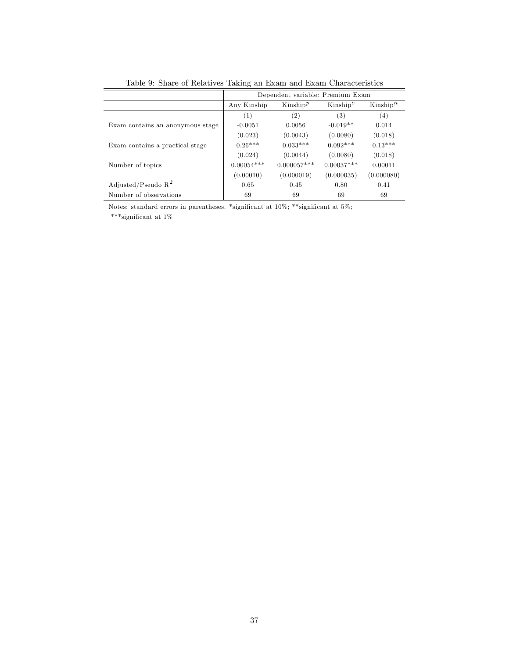|                                  |              | Dependent variable: Premium Exam |                      |             |
|----------------------------------|--------------|----------------------------------|----------------------|-------------|
|                                  | Any Kinship  | Kinship <sup>p</sup>             | Kinship <sup>c</sup> | $Kinship^n$ |
|                                  | (1)          | (2)                              | (3)                  | (4)         |
| Exam contains an anonymous stage | $-0.0051$    | 0.0056                           | $-0.019**$           | 0.014       |
|                                  | (0.023)      | (0.0043)                         | (0.0080)             | (0.018)     |
| Exam contains a practical stage  | $0.26***$    | $0.033***$                       | $0.092***$           | $0.13***$   |
|                                  | (0.024)      | (0.0044)                         | (0.0080)             | (0.018)     |
| Number of topics                 | $0.00054***$ | $0.000057***$                    | $0.00037***$         | 0.00011     |
|                                  | (0.00010)    | (0.000019)                       | (0.000035)           | (0.000080)  |
| Adjusted/Pseudo $R^2$            | 0.65         | 0.45                             | 0.80                 | 0.41        |
| Number of observations           | 69           | 69                               | 69                   | 69          |

Table 9: Share of Relatives Taking an Exam and Exam Characteristics

Notes: standard errors in parentheses. \*significant at  $10\%$ ; \*\*significant at  $5\%$ ;

\*\*\*significant at 1%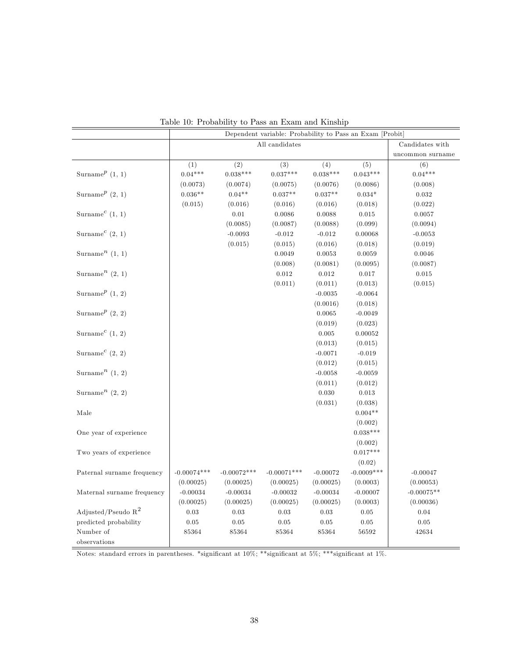|                                          |               |               | Dependent variable: Probability to Pass an Exam [Probit] |            |               |                  |
|------------------------------------------|---------------|---------------|----------------------------------------------------------|------------|---------------|------------------|
|                                          |               |               | All candidates                                           |            |               | Candidates with  |
|                                          |               |               |                                                          |            |               | uncommon surname |
|                                          | (1)           | (2)           | (3)                                                      | (4)        | (5)           | (6)              |
| Surname <sup><math>p</math></sup> (1, 1) | $0.04***$     | $0.038***$    | $0.037***$                                               | $0.038***$ | $0.043***$    | $0.04***$        |
|                                          | (0.0073)      | (0.0074)      | (0.0075)                                                 | (0.0076)   | (0.0086)      | (0.008)          |
| Surname <sup><math>p</math></sup> (2, 1) | $0.036**$     | $0.04**$      | $0.037**$                                                | $0.037**$  | $0.034*$      | 0.032            |
|                                          | (0.015)       | (0.016)       | (0.016)                                                  | (0.016)    | (0.018)       | (0.022)          |
| Surname <sup><math>c</math></sup> (1, 1) |               | 0.01          | 0.0086                                                   | 0.0088     | 0.015         | 0.0057           |
|                                          |               | (0.0085)      | (0.0087)                                                 | (0.0088)   | (0.099)       | (0.0094)         |
| Surname <sup><math>c</math></sup> (2, 1) |               | $-0.0093$     | $-0.012$                                                 | $-0.012$   | 0.00068       | $-0.0053$        |
|                                          |               | (0.015)       | (0.015)                                                  | (0.016)    | (0.018)       | (0.019)          |
| Surname <sup><math>n</math></sup> (1, 1) |               |               | 0.0049                                                   | 0.0053     | 0.0059        | 0.0046           |
|                                          |               |               | (0.008)                                                  | (0.0081)   | (0.0095)      | (0.0087)         |
| Surname <sup><math>n</math></sup> (2, 1) |               |               | 0.012                                                    | 0.012      | 0.017         | 0.015            |
|                                          |               |               | (0.011)                                                  | (0.011)    | (0.013)       | (0.015)          |
| Surname <sup><math>p</math></sup> (1, 2) |               |               |                                                          | $-0.0035$  | $-0.0064$     |                  |
|                                          |               |               |                                                          | (0.0016)   | (0.018)       |                  |
| Surname <sup><math>p</math></sup> (2, 2) |               |               |                                                          | 0.0065     | $-0.0049$     |                  |
|                                          |               |               |                                                          | (0.019)    | (0.023)       |                  |
| Surname <sup><math>c</math></sup> (1, 2) |               |               |                                                          | 0.005      | 0.00052       |                  |
|                                          |               |               |                                                          | (0.013)    | (0.015)       |                  |
| Surname <sup><math>c</math></sup> (2, 2) |               |               |                                                          | $-0.0071$  | $-0.019$      |                  |
|                                          |               |               |                                                          | (0.012)    | (0.015)       |                  |
| Surname <sup><math>n</math></sup> (1, 2) |               |               |                                                          | $-0.0058$  | $-0.0059$     |                  |
|                                          |               |               |                                                          | (0.011)    | (0.012)       |                  |
| Surname <sup><math>n</math></sup> (2, 2) |               |               |                                                          | 0.030      | 0.013         |                  |
|                                          |               |               |                                                          | (0.031)    | (0.038)       |                  |
| Male                                     |               |               |                                                          |            | $0.004**$     |                  |
|                                          |               |               |                                                          |            | (0.002)       |                  |
| One year of experience                   |               |               |                                                          |            | $0.038***$    |                  |
|                                          |               |               |                                                          |            | (0.002)       |                  |
| Two years of experience                  |               |               |                                                          |            | $0.017***$    |                  |
|                                          |               |               |                                                          |            | (0.02)        |                  |
| Paternal surname frequency               | $-0.00074***$ | $-0.00072***$ | $-0.00071***$                                            | $-0.00072$ | $-0.0009$ *** | $-0.00047$       |
|                                          | (0.00025)     | (0.00025)     | (0.00025)                                                | (0.00025)  | (0.0003)      | (0.00053)        |
| Maternal surname frequency               | $-0.00034$    | $-0.00034$    | $-0.00032$                                               | $-0.00034$ | $-0.00007$    | $-0.00075**$     |
|                                          | (0.00025)     | (0.00025)     | (0.00025)                                                | (0.00025)  | (0.0003)      | (0.00036)        |
| Adjusted/Pseudo $R^2$                    | 0.03          | 0.03          | 0.03                                                     | 0.03       | 0.05          | 0.04             |
| predicted probability                    | $\rm 0.05$    | $\rm 0.05$    | $0.05\,$                                                 | 0.05       | 0.05          | $0.05\,$         |
| Number of                                | 85364         | 85364         | 85364                                                    | 85364      | 56592         | 42634            |
| observations                             |               |               |                                                          |            |               |                  |

Table 10: Probability to Pass an Exam and Kinship

Notes: standard errors in parentheses. \*significant at 10%; \*\*significant at 5%; \*\*\*significant at 1%.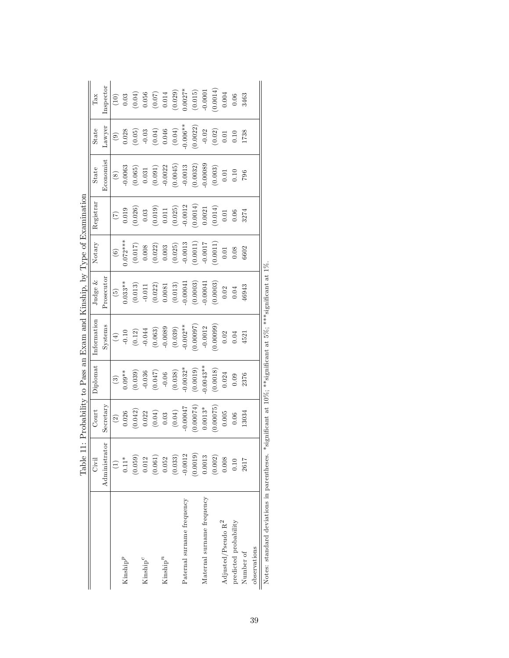|                                            | LaUIC          |                                               |            | $\frac{1}{2}$ is a solution of the contract of the contract of the contract of $\frac{1}{2}$ is a solution of $\frac{1}{2}$ is a solution of $\frac{1}{2}$ is a solution of $\frac{1}{2}$ is a solution of $\frac{1}{2}$ is a solution of $\frac{1}{2}$ i |                 |               |                 |             |                   |                                                |
|--------------------------------------------|----------------|-----------------------------------------------|------------|-----------------------------------------------------------------------------------------------------------------------------------------------------------------------------------------------------------------------------------------------------------|-----------------|---------------|-----------------|-------------|-------------------|------------------------------------------------|
|                                            | Civil          | Court                                         | Diplomat   | Information                                                                                                                                                                                                                                               | Judge $&$       | Notary        | Registrar       | State       | State             | Tax                                            |
|                                            | Administrator  | Secretary                                     |            | Systems                                                                                                                                                                                                                                                   | Prosecutor      |               |                 | Economist   | Lawyer            | inspector                                      |
|                                            | $\overline{c}$ | $\widehat{c}$                                 | ලි         | $\tag{4}$                                                                                                                                                                                                                                                 | $\widetilde{5}$ | $\widehat{c}$ | $\widetilde{C}$ | $\circledS$ | $\odot$           | (10)                                           |
| $\mathrm{Kinship}^p$                       | $0.11*$        | 0.026                                         | $0.09**$   | $-0.10$                                                                                                                                                                                                                                                   | $0.033**$       | $0.072***$    | 0.019           | $-0.0063$   | 0.028             | $0.03\,$                                       |
|                                            | (0.059)        | (0.042)                                       | (0.039)    | $(0.12)$<br>-0.044                                                                                                                                                                                                                                        | (0.013)         | (0.017)       | (0.026)         | (0.065)     | (0.05)            | $(0.04)$<br>0.056                              |
| $\mathrm{Kinship}^{\mathcal{C}}$           | 0.012          | 0.022                                         | $-0.036$   |                                                                                                                                                                                                                                                           | $-0.011$        | $0.008$       | 0.03            | $\rm 0.031$ | $-0.03$           |                                                |
|                                            | (0.061)        | $\begin{array}{c} (0.04) \\ 0.03 \end{array}$ | (0.047)    | (0.063)                                                                                                                                                                                                                                                   | (0.022)         | (0.022)       | (0.019)         | (0.091)     |                   | $\begin{array}{c} (0.07) \\ 0.014 \end{array}$ |
| $\mathrm{Kinship}^n$                       | 0.052          |                                               | $-0.06$    | $-0.0089$                                                                                                                                                                                                                                                 | 0.0081          | 0.003         | $0.011\,$       | $-0.0022$   | $(0.04)$<br>0.046 |                                                |
|                                            | (0.033)        | $(0.04)$                                      | (0.038)    | (0.039)                                                                                                                                                                                                                                                   | (0.013)         | (0.025)       | (0.025)         | (0.0045)    | (0.04)            | (0.029)                                        |
| Paternal surname frequency                 | $-0.0012$      | $-0.00047$                                    | $-0.0032*$ | $-0.002**$                                                                                                                                                                                                                                                | $-0.00041$      | $-0.0013$     | $-0.0012$       | $-0.0013$   | $0.006**$         | $0.0027*$                                      |
|                                            | (0.0019)       | (55000.0)                                     | (0.0019)   | (76000.0)                                                                                                                                                                                                                                                 | (0.0003)        | (0.0011)      | (0.0014)        | (0.0032)    | (0.0022)          | (0.015)                                        |
| Maternal surname frequency                 | 0.0013         | $0.0013*$                                     | $0.0043**$ | $-0.0012$                                                                                                                                                                                                                                                 | $-0.00041$      | $-0.0017$     | 0.0021          | 0.00089     | $-0.02$           | $-0.0001$                                      |
|                                            | (0.002)        | (0.00075)                                     | (0.0018)   | (0.0009)                                                                                                                                                                                                                                                  | (0.0003)        | (0.0011)      | (0.014)         | (0.003)     | (0.02)            | (0.0014)                                       |
| Adjusted/Pseudo $\mathbf{R}^2$             | 0.008          | 0.005                                         | 0.024      | 0.02                                                                                                                                                                                                                                                      | 0.02            | 0.01          | 0.01            | 0.01        | 0.01              | 0.004                                          |
| predicted probability                      | 0.10           | $0.06$                                        | 0.09       | 0.04                                                                                                                                                                                                                                                      | 0.04            | 0.08          | 0.06            | 0.10        | 0.10              | 0.06                                           |
| Number of                                  | 2617           | 13034                                         | 2376       | 4521                                                                                                                                                                                                                                                      | 46943           | 6602          | 3274            | 796         | 1738              | 3463                                           |
| observations                               |                |                                               |            |                                                                                                                                                                                                                                                           |                 |               |                 |             |                   |                                                |
| Notes: standard deviations in parentheses. |                |                                               |            | *significant at $10\%$ ; **significant at $5\%$ ; ***significant at $1\%$                                                                                                                                                                                 |                 |               |                 |             |                   |                                                |

Table 11: Probability to Pass an Exam and Kinship, by Type of Examination Table 11: Probability to Pass an Exam and Kinship, by Type of Examination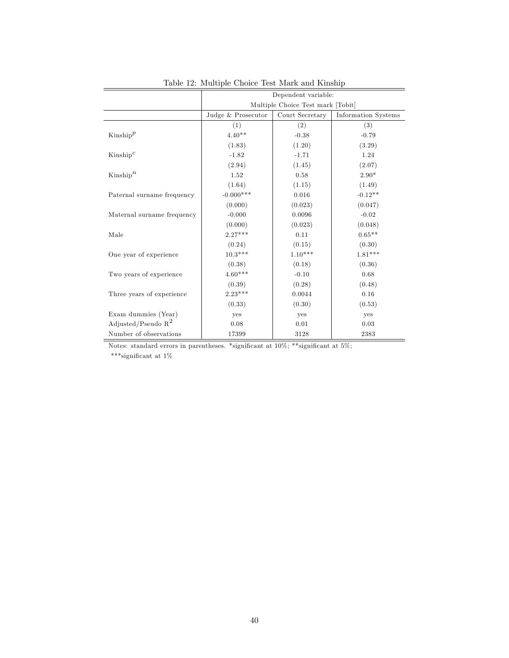|                            | Dependent variable: |                                   |                            |
|----------------------------|---------------------|-----------------------------------|----------------------------|
|                            |                     | Multiple Choice Test mark [Tobit] |                            |
|                            | Judge & Prosecutor  | Court Secretary                   | <b>Information Systems</b> |
|                            | (1)                 | (2)                               | (3)                        |
| $\text{Kinship}^p$         | $4.40**$            | $-0.38$                           | $-0.79$                    |
|                            | (1.83)              | (1.20)                            | (3.29)                     |
| $\text{Kinship}^c$         | $-1.82$             | $-1.71$                           | 1.24                       |
|                            | (2.94)              | (1.45)                            | (2.07)                     |
| $\text{Kinship}^n$         | 1.52                | 0.58                              | $2.90*$                    |
|                            | (1.64)              | (1.15)                            | (1.49)                     |
| Paternal surname frequency | $-0.000***$         | 0.016                             | $-0.12**$                  |
|                            | (0.000)             | (0.023)                           | (0.047)                    |
| Maternal surname frequency | $-0.000$            | 0.0096                            | $-0.02$                    |
|                            | (0.000)             | (0.023)                           | (0.048)                    |
| Male                       | $2.27***$           | 0.11                              | $0.65**$                   |
|                            | (0.24)              | (0.15)                            | (0.30)                     |
| One year of experience     | $10.3***$           | $1.10***$                         | $1.81***$                  |
|                            | (0.38)              | (0.18)                            | (0.36)                     |
| Two years of experience    | $4.60***$           | $-0.10$                           | 0.68                       |
|                            | (0.39)              | (0.28)                            | (0.48)                     |
| Three years of experience  | $2.23***$           | 0.0044                            | 0.16                       |
|                            | (0.33)              | (0.30)                            | (0.53)                     |
| Exam dummies (Year)        | yes                 | yes                               | yes                        |
| Adjusted/Pseudo $R^2$      | 0.08                | 0.01                              | 0.03                       |
| Number of observations     | 17399               | 3128                              | 2383                       |

Table 12: Multiple Choice Test Mark and Kinship

Notes: standard errors in parentheses. \*significant at  $10\%$ ; \*\*significant at  $5\%$ ;

 $^{***}$  significant at  $1\%$